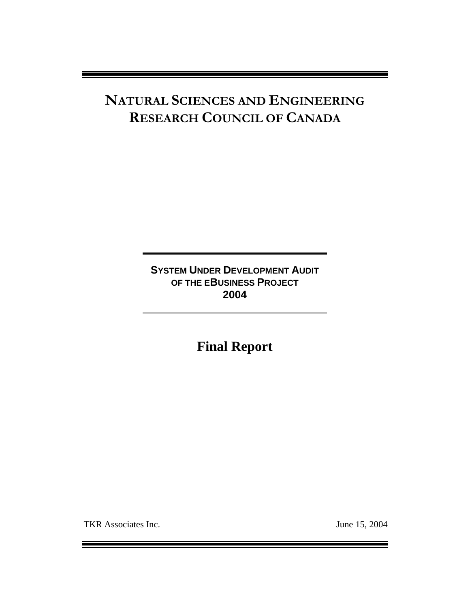# **NATURAL SCIENCES AND ENGINEERING RESEARCH COUNCIL OF CANADA**

**SYSTEM UNDER DEVELOPMENT AUDIT OF THE EBUSINESS PROJECT 2004** 

**Final Report**

TKR Associates Inc. June 15, 2004

Ξ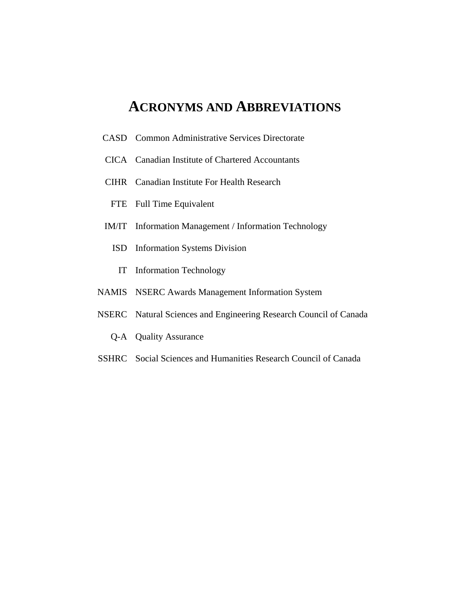### **ACRONYMS AND ABBREVIATIONS**

- CASD Common Administrative Services Directorate
- CICA Canadian Institute of Chartered Accountants
- CIHR Canadian Institute For Health Research
- FTE Full Time Equivalent
- IM/IT Information Management / Information Technology
	- ISD Information Systems Division
		- IT Information Technology
- NAMIS NSERC Awards Management Information System
- NSERC Natural Sciences and Engineering Research Council of Canada
	- Q-A Quality Assurance
- SSHRC Social Sciences and Humanities Research Council of Canada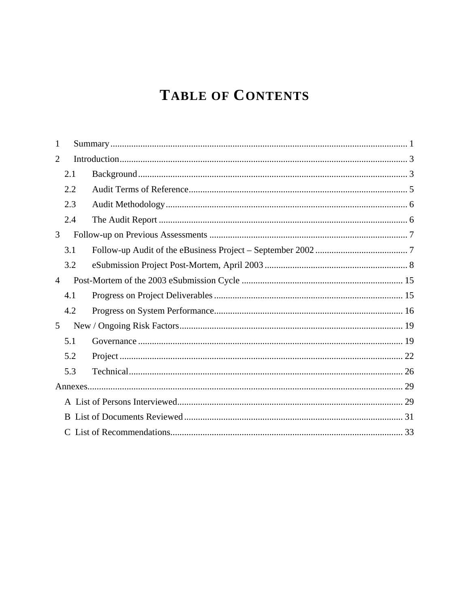# **TABLE OF CONTENTS**

| 1 |     |  |  |
|---|-----|--|--|
| 2 |     |  |  |
|   | 2.1 |  |  |
|   | 2.2 |  |  |
|   | 2.3 |  |  |
|   | 2.4 |  |  |
| 3 |     |  |  |
|   | 3.1 |  |  |
|   | 3.2 |  |  |
| 4 |     |  |  |
|   | 4.1 |  |  |
|   | 4.2 |  |  |
| 5 |     |  |  |
|   | 5.1 |  |  |
|   | 5.2 |  |  |
|   | 5.3 |  |  |
|   |     |  |  |
|   |     |  |  |
|   |     |  |  |
|   |     |  |  |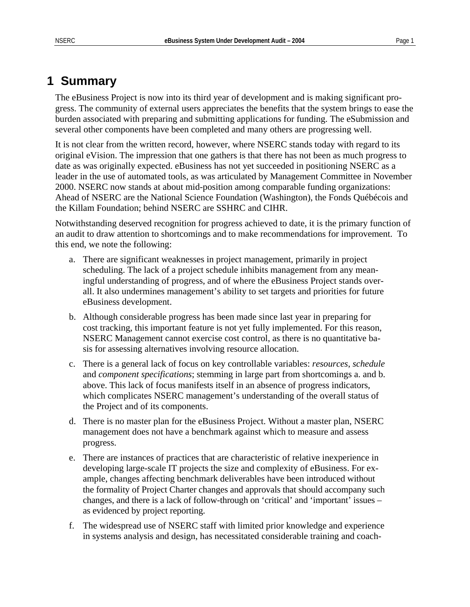### <span id="page-4-0"></span>**1 Summary**

The eBusiness Project is now into its third year of development and is making significant progress. The community of external users appreciates the benefits that the system brings to ease the burden associated with preparing and submitting applications for funding. The eSubmission and several other components have been completed and many others are progressing well.

It is not clear from the written record, however, where NSERC stands today with regard to its original eVision. The impression that one gathers is that there has not been as much progress to date as was originally expected. eBusiness has not yet succeeded in positioning NSERC as a leader in the use of automated tools, as was articulated by Management Committee in November 2000. NSERC now stands at about mid-position among comparable funding organizations: Ahead of NSERC are the National Science Foundation (Washington), the Fonds Québécois and the Killam Foundation; behind NSERC are SSHRC and CIHR.

Notwithstanding deserved recognition for progress achieved to date, it is the primary function of an audit to draw attention to shortcomings and to make recommendations for improvement. To this end, we note the following:

- a. There are significant weaknesses in project management, primarily in project scheduling. The lack of a project schedule inhibits management from any meaningful understanding of progress, and of where the eBusiness Project stands overall. It also undermines management's ability to set targets and priorities for future eBusiness development.
- b. Although considerable progress has been made since last year in preparing for cost tracking, this important feature is not yet fully implemented. For this reason, NSERC Management cannot exercise cost control, as there is no quantitative basis for assessing alternatives involving resource allocation.
- c. There is a general lack of focus on key controllable variables: *resources*, *schedule* and *component specifications*; stemming in large part from shortcomings a. and b. above. This lack of focus manifests itself in an absence of progress indicators, which complicates NSERC management's understanding of the overall status of the Project and of its components.
- d. There is no master plan for the eBusiness Project. Without a master plan, NSERC management does not have a benchmark against which to measure and assess progress.
- e. There are instances of practices that are characteristic of relative inexperience in developing large-scale IT projects the size and complexity of eBusiness. For example, changes affecting benchmark deliverables have been introduced without the formality of Project Charter changes and approvals that should accompany such changes, and there is a lack of follow-through on 'critical' and 'important' issues – as evidenced by project reporting.
- f. The widespread use of NSERC staff with limited prior knowledge and experience in systems analysis and design, has necessitated considerable training and coach-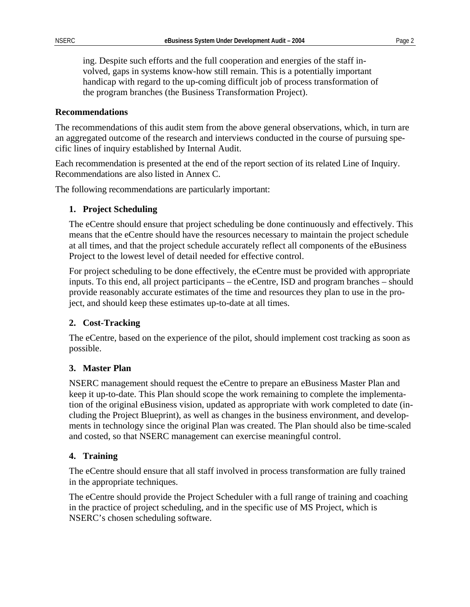ing. Despite such efforts and the full cooperation and energies of the staff involved, gaps in systems know-how still remain. This is a potentially important handicap with regard to the up-coming difficult job of process transformation of the program branches (the Business Transformation Project).

#### **Recommendations**

The recommendations of this audit stem from the above general observations, which, in turn are an aggregated outcome of the research and interviews conducted in the course of pursuing specific lines of inquiry established by Internal Audit.

Each recommendation is presented at the end of the report section of its related Line of Inquiry. Recommendations are also listed in Annex C.

The following recommendations are particularly important:

#### **1. Project Scheduling**

The eCentre should ensure that project scheduling be done continuously and effectively. This means that the eCentre should have the resources necessary to maintain the project schedule at all times, and that the project schedule accurately reflect all components of the eBusiness Project to the lowest level of detail needed for effective control.

For project scheduling to be done effectively, the eCentre must be provided with appropriate inputs. To this end, all project participants – the eCentre, ISD and program branches – should provide reasonably accurate estimates of the time and resources they plan to use in the project, and should keep these estimates up-to-date at all times.

#### **2. Cost-Tracking**

The eCentre, based on the experience of the pilot, should implement cost tracking as soon as possible.

#### **3. Master Plan**

NSERC management should request the eCentre to prepare an eBusiness Master Plan and keep it up-to-date. This Plan should scope the work remaining to complete the implementation of the original eBusiness vision, updated as appropriate with work completed to date (including the Project Blueprint), as well as changes in the business environment, and developments in technology since the original Plan was created. The Plan should also be time-scaled and costed, so that NSERC management can exercise meaningful control.

#### **4. Training**

The eCentre should ensure that all staff involved in process transformation are fully trained in the appropriate techniques.

The eCentre should provide the Project Scheduler with a full range of training and coaching in the practice of project scheduling, and in the specific use of MS Project, which is NSERC's chosen scheduling software.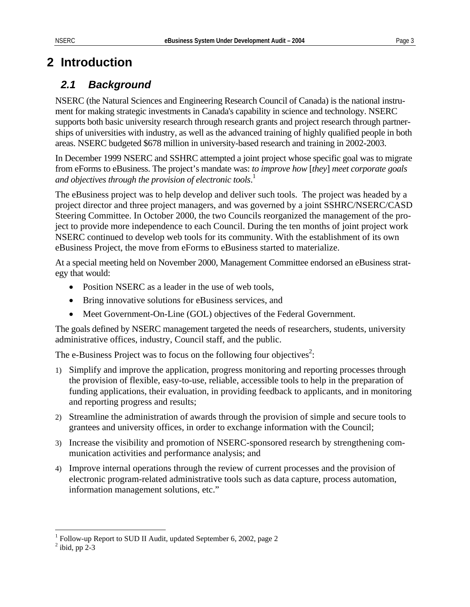## <span id="page-6-0"></span>**2 Introduction**

### *2.1 Background*

NSERC (the Natural Sciences and Engineering Research Council of Canada) is the national instrument for making strategic investments in Canada's capability in science and technology. NSERC supports both basic university research through research grants and project research through partnerships of universities with industry, as well as the advanced training of highly qualified people in both areas. NSERC budgeted \$678 million in university-based research and training in 2002-2003.

In December 1999 NSERC and SSHRC attempted a joint project whose specific goal was to migrate from eForms to eBusiness. The project's mandate was: *to improve how* [*they*] *meet corporate goals and objectives through the provision of electronic tools*. 1 

The eBusiness project was to help develop and deliver such tools. The project was headed by a project director and three project managers, and was governed by a joint SSHRC/NSERC/CASD Steering Committee. In October 2000, the two Councils reorganized the management of the project to provide more independence to each Council. During the ten months of joint project work NSERC continued to develop web tools for its community. With the establishment of its own eBusiness Project, the move from eForms to eBusiness started to materialize.

At a special meeting held on November 2000, Management Committee endorsed an eBusiness strategy that would:

- Position NSERC as a leader in the use of web tools,
- Bring innovative solutions for eBusiness services, and
- Meet Government-On-Line (GOL) objectives of the Federal Government.

The goals defined by NSERC management targeted the needs of researchers, students, university administrative offices, industry, Council staff, and the public.

The e-Business Project was to focus on the following four objectives<sup>[2](#page-6-2)</sup>:

- 1) Simplify and improve the application, progress monitoring and reporting processes through the provision of flexible, easy-to-use, reliable, accessible tools to help in the preparation of funding applications, their evaluation, in providing feedback to applicants, and in monitoring and reporting progress and results;
- 2) Streamline the administration of awards through the provision of simple and secure tools to grantees and university offices, in order to exchange information with the Council;
- 3) Increase the visibility and promotion of NSERC-sponsored research by strengthening communication activities and performance analysis; and
- 4) Improve internal operations through the review of current processes and the provision of electronic program-related administrative tools such as data capture, process automation, information management solutions, etc."

 $\overline{a}$ 

<span id="page-6-1"></span><sup>&</sup>lt;sup>1</sup> Follow-up Report to SUD II Audit, updated September 6, 2002, page 2

<span id="page-6-2"></span> $<sup>2</sup>$  ibid, pp 2-3</sup>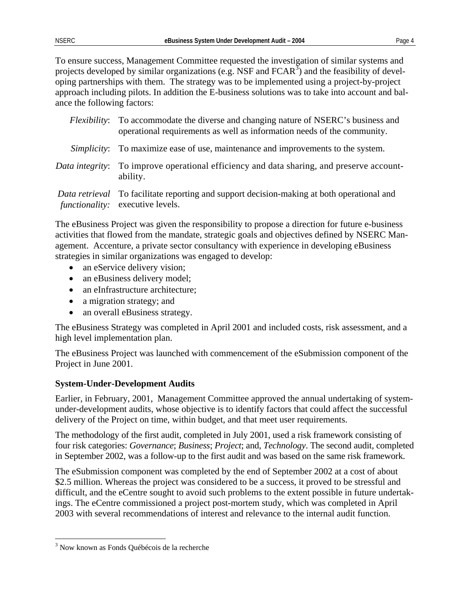To ensure success, Management Committee requested the investigation of similar systems and projects developed by similar organizations (e.g. NSF and  $FCAR^{\bar{3}}$ [\)](#page-7-0) and the feasibility of developing partnerships with them. The strategy was to be implemented using a project-by-project approach including pilots. In addition the E-business solutions was to take into account and balance the following factors:

|                    | <i>Flexibility</i> : To accommodate the diverse and changing nature of NSERC's business and<br>operational requirements as well as information needs of the community. |  |
|--------------------|------------------------------------------------------------------------------------------------------------------------------------------------------------------------|--|
| <i>Simplicity:</i> | To maximize ease of use, maintenance and improvements to the system.                                                                                                   |  |
| Data integrity:    | To improve operational efficiency and data sharing, and preserve account-<br>ability.                                                                                  |  |
|                    | Data retrieval To facilitate reporting and support decision-making at both operational and<br><i>functionality:</i> executive levels.                                  |  |

The eBusiness Project was given the responsibility to propose a direction for future e-business activities that flowed from the mandate, strategic goals and objectives defined by NSERC Management. Accenture, a private sector consultancy with experience in developing eBusiness strategies in similar organizations was engaged to develop:

- an eService delivery vision;
- an eBusiness delivery model;
- an eInfrastructure architecture;
- a migration strategy; and
- an overall eBusiness strategy.

The eBusiness Strategy was completed in April 2001 and included costs, risk assessment, and a high level implementation plan.

The eBusiness Project was launched with commencement of the eSubmission component of the Project in June 2001.

### **System-Under-Development Audits**

Earlier, in February, 2001, Management Committee approved the annual undertaking of systemunder-development audits, whose objective is to identify factors that could affect the successful delivery of the Project on time, within budget, and that meet user requirements.

The methodology of the first audit, completed in July 2001, used a risk framework consisting of four risk categories: *Governance*; *Business*; *Project*; and, *Technology*. The second audit, completed in September 2002, was a follow-up to the first audit and was based on the same risk framework.

The eSubmission component was completed by the end of September 2002 at a cost of about \$2.5 million. Whereas the project was considered to be a success, it proved to be stressful and difficult, and the eCentre sought to avoid such problems to the extent possible in future undertakings. The eCentre commissioned a project post-mortem study, which was completed in April 2003 with several recommendations of interest and relevance to the internal audit function.

<u>.</u>

<span id="page-7-0"></span><sup>&</sup>lt;sup>3</sup> Now known as Fonds Québécois de la recherche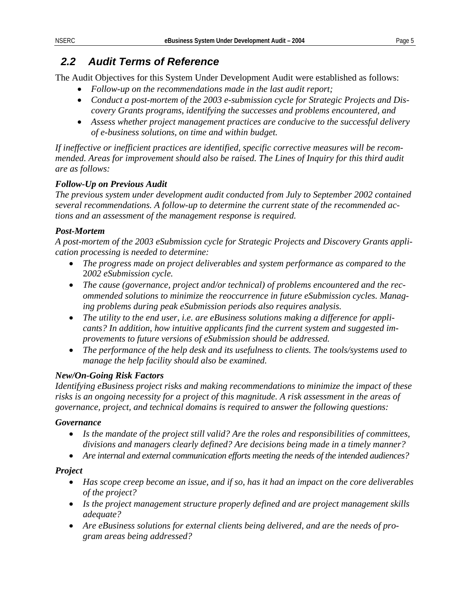### <span id="page-8-1"></span><span id="page-8-0"></span>*2.2 Audit Terms of Reference*

The Audit Objectives for this System Under Development Audit were established as follows:

- *Follow-up on the recommendations made in the last audit report;*
- *Conduct a post-mortem of the 2003 e-submission cycle for Strategic Projects and Discovery Grants programs, identifying the successes and problems encountered, and*
- *Assess whether project management practices are conducive to the successful delivery of e-business solutions, on time and within budget.*

*If ineffective or inefficient practices are identified, specific corrective measures will be recommended. Areas for improvement should also be raised. The Lines of Inquiry for this third audit are as follows:* 

### *Follow-Up on Previous Audit*

*The previous system under development audit conducted from July to September 2002 contained several recommendations. A follow-up to determine the current state of the recommended actions and an assessment of the management response is required.* 

### *Post-Mortem*

*A post-mortem of the 2003 eSubmission cycle for Strategic Projects and Discovery Grants application processing is needed to determine:* 

- *The progress made on project deliverables and system performance as compared to the*  2*002 eSubmission cycle.*
- *The cause (governance, project and/or technical) of problems encountered and the recommended solutions to minimize the reoccurrence in future eSubmission cycles. Managing problems during peak eSubmission periods also requires analysis.*
- *The utility to the end user, i.e. are eBusiness solutions making a difference for applicants? In addition, how intuitive applicants find the current system and suggested improvements to future versions of eSubmission should be addressed.*
- *The performance of the help desk and its usefulness to clients. The tools/systems used to manage the help facility should also be examined.*

### *New/On-Going Risk Factors*

*Identifying eBusiness project risks and making recommendations to minimize the impact of these risks is an ongoing necessity for a project of this magnitude. A risk assessment in the areas of governance, project, and technical domains is required to answer the following questions:* 

### *Governance*

- *Is the mandate of the project still valid? Are the roles and responsibilities of committees, divisions and managers clearly defined? Are decisions being made in a timely manner?*
- *Are internal and external communication efforts meeting the needs of the intended audiences?*

### *Project*

- *Has scope creep become an issue, and if so, has it had an impact on the core deliverables of the project?*
- *Is the project management structure properly defined and are project management skills adequate?*
- *Are eBusiness solutions for external clients being delivered, and are the needs of program areas being addressed?*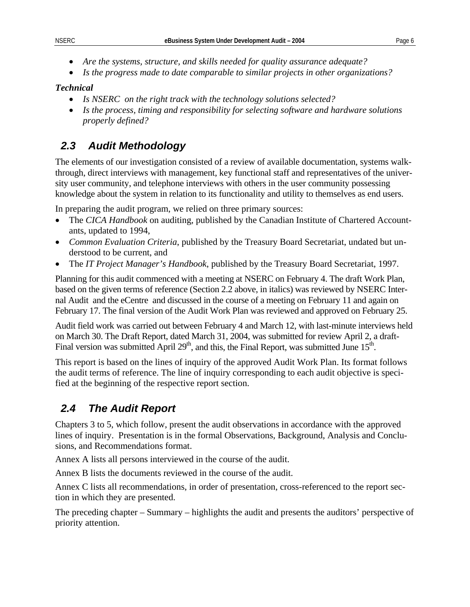- <span id="page-9-0"></span>• *Are the systems, structure, and skills needed for quality assurance adequate?*
- *Is the progress made to date comparable to similar projects in other organizations?*

### *Technical*

- *Is NSERC on the right track with the technology solutions selected?*
- *Is the process, timing and responsibility for selecting software and hardware solutions properly defined?*

### *2.3 Audit Methodology*

The elements of our investigation consisted of a review of available documentation, systems walkthrough, direct interviews with management, key functional staff and representatives of the university user community, and telephone interviews with others in the user community possessing knowledge about the system in relation to its functionality and utility to themselves as end users.

In preparing the audit program, we relied on three primary sources:

- The *CICA Handbook* on auditing, published by the Canadian Institute of Chartered Accountants, updated to 1994,
- *Common Evaluation Criteria*, published by the Treasury Board Secretariat, undated but understood to be current, and
- The *IT Project Manager's Handbook*, published by the Treasury Board Secretariat, 1997.

Planning for this audit commenced with a meeting at NSERC on February 4. The draft Work Plan, based on the given terms of reference (Section [2.2](#page-8-1) above, in italics) was reviewed by NSERC Internal Audit and the eCentre and discussed in the course of a meeting on February 11 and again on February 17. The final version of the Audit Work Plan was reviewed and approved on February 25.

Audit field work was carried out between February 4 and March 12, with last-minute interviews held on March 30. The Draft Report, dated March 31, 2004, was submitted for review April 2, a draft-Final version was submitted April  $29<sup>th</sup>$ , and this, the Final Report, was submitted June 15<sup>th</sup>.

This report is based on the lines of inquiry of the approved Audit Work Plan. Its format follows the audit terms of reference. The line of inquiry corresponding to each audit objective is specified at the beginning of the respective report section.

### *2.4 The Audit Report*

Chapters 3 to 5, which follow, present the audit observations in accordance with the approved lines of inquiry. Presentation is in the formal Observations, Background, Analysis and Conclusions, and Recommendations format.

Annex A lists all persons interviewed in the course of the audit.

Annex B lists the documents reviewed in the course of the audit.

Annex C lists all recommendations, in order of presentation, cross-referenced to the report section in which they are presented.

The preceding chapter – Summary – highlights the audit and presents the auditors' perspective of priority attention.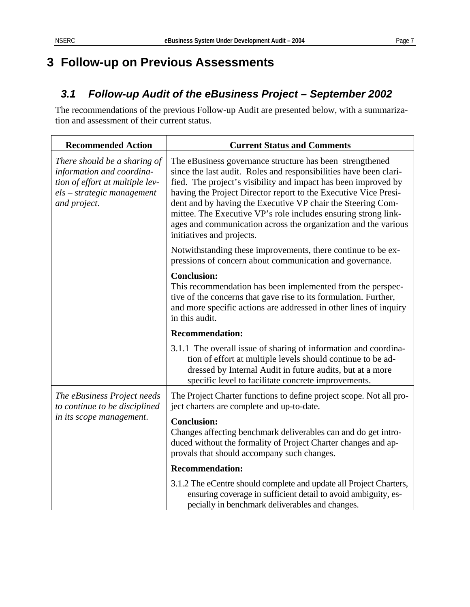# <span id="page-10-0"></span>**3 Follow-up on Previous Assessments**

# <span id="page-10-1"></span>*3.1 Follow-up Audit of the eBusiness Project – September 2002*

The recommendations of the previous Follow-up Audit are presented below, with a summarization and assessment of their current status.

| <b>Recommended Action</b>                                                                                                                    | <b>Current Status and Comments</b>                                                                                                                                                                                                                                                                                                                                                                                                                                                                 |  |
|----------------------------------------------------------------------------------------------------------------------------------------------|----------------------------------------------------------------------------------------------------------------------------------------------------------------------------------------------------------------------------------------------------------------------------------------------------------------------------------------------------------------------------------------------------------------------------------------------------------------------------------------------------|--|
| There should be a sharing of<br>information and coordina-<br>tion of effort at multiple lev-<br>$els - strategic management$<br>and project. | The eBusiness governance structure has been strengthened<br>since the last audit. Roles and responsibilities have been clari-<br>fied. The project's visibility and impact has been improved by<br>having the Project Director report to the Executive Vice Presi-<br>dent and by having the Executive VP chair the Steering Com-<br>mittee. The Executive VP's role includes ensuring strong link-<br>ages and communication across the organization and the various<br>initiatives and projects. |  |
|                                                                                                                                              | Notwithstanding these improvements, there continue to be ex-<br>pressions of concern about communication and governance.                                                                                                                                                                                                                                                                                                                                                                           |  |
|                                                                                                                                              | <b>Conclusion:</b><br>This recommendation has been implemented from the perspec-<br>tive of the concerns that gave rise to its formulation. Further,<br>and more specific actions are addressed in other lines of inquiry<br>in this audit.                                                                                                                                                                                                                                                        |  |
|                                                                                                                                              | <b>Recommendation:</b>                                                                                                                                                                                                                                                                                                                                                                                                                                                                             |  |
|                                                                                                                                              | 3.1.1 The overall issue of sharing of information and coordina-<br>tion of effort at multiple levels should continue to be ad-<br>dressed by Internal Audit in future audits, but at a more<br>specific level to facilitate concrete improvements.                                                                                                                                                                                                                                                 |  |
| The eBusiness Project needs<br>to continue to be disciplined                                                                                 | The Project Charter functions to define project scope. Not all pro-<br>ject charters are complete and up-to-date.                                                                                                                                                                                                                                                                                                                                                                                  |  |
| in its scope management.                                                                                                                     | <b>Conclusion:</b><br>Changes affecting benchmark deliverables can and do get intro-<br>duced without the formality of Project Charter changes and ap-<br>provals that should accompany such changes.                                                                                                                                                                                                                                                                                              |  |
|                                                                                                                                              | <b>Recommendation:</b>                                                                                                                                                                                                                                                                                                                                                                                                                                                                             |  |
|                                                                                                                                              | 3.1.2 The eCentre should complete and update all Project Charters,<br>ensuring coverage in sufficient detail to avoid ambiguity, es-<br>pecially in benchmark deliverables and changes.                                                                                                                                                                                                                                                                                                            |  |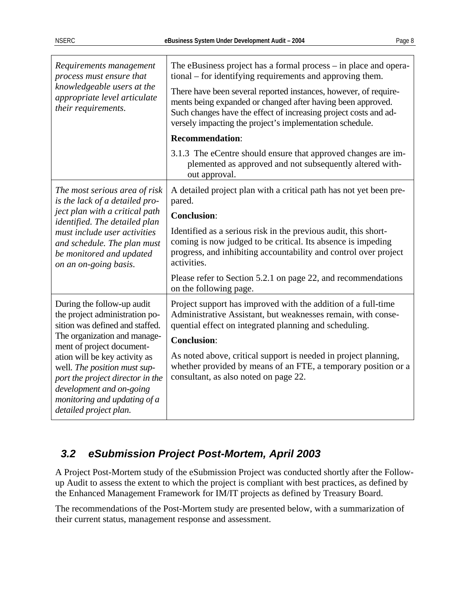<span id="page-11-0"></span>

| Requirements management<br>process must ensure that<br>knowledgeable users at the<br>appropriate level articulate<br>their requirements.                                                                             | The eBusiness project has a formal process – in place and opera-<br>tional – for identifying requirements and approving them.<br>There have been several reported instances, however, of require-<br>ments being expanded or changed after having been approved.<br>Such changes have the effect of increasing project costs and ad-<br>versely impacting the project's implementation schedule. |  |
|----------------------------------------------------------------------------------------------------------------------------------------------------------------------------------------------------------------------|--------------------------------------------------------------------------------------------------------------------------------------------------------------------------------------------------------------------------------------------------------------------------------------------------------------------------------------------------------------------------------------------------|--|
|                                                                                                                                                                                                                      | <b>Recommendation:</b>                                                                                                                                                                                                                                                                                                                                                                           |  |
|                                                                                                                                                                                                                      | 3.1.3 The eCentre should ensure that approved changes are im-<br>plemented as approved and not subsequently altered with-<br>out approval.                                                                                                                                                                                                                                                       |  |
| The most serious area of risk<br>is the lack of a detailed pro-                                                                                                                                                      | A detailed project plan with a critical path has not yet been pre-<br>pared.                                                                                                                                                                                                                                                                                                                     |  |
| ject plan with a critical path<br>identified. The detailed plan                                                                                                                                                      | <b>Conclusion:</b>                                                                                                                                                                                                                                                                                                                                                                               |  |
| must include user activities<br>and schedule. The plan must<br>be monitored and updated<br>on an on-going basis.                                                                                                     | Identified as a serious risk in the previous audit, this short-<br>coming is now judged to be critical. Its absence is impeding<br>progress, and inhibiting accountability and control over project<br>activities.                                                                                                                                                                               |  |
|                                                                                                                                                                                                                      | Please refer to Section 5.2.1 on page 22, and recommendations<br>on the following page.                                                                                                                                                                                                                                                                                                          |  |
| During the follow-up audit<br>the project administration po-<br>sition was defined and staffed.<br>The organization and manage-                                                                                      | Project support has improved with the addition of a full-time<br>Administrative Assistant, but weaknesses remain, with conse-<br>quential effect on integrated planning and scheduling.                                                                                                                                                                                                          |  |
| ment of project document-<br>ation will be key activity as<br>well. The position must sup-<br>port the project director in the<br>development and on-going<br>monitoring and updating of a<br>detailed project plan. | <b>Conclusion:</b><br>As noted above, critical support is needed in project planning,<br>whether provided by means of an FTE, a temporary position or a<br>consultant, as also noted on page 22.                                                                                                                                                                                                 |  |

### *3.2 eSubmission Project Post-Mortem, April 2003*

A Project Post-Mortem study of the eSubmission Project was conducted shortly after the Followup Audit to assess the extent to which the project is compliant with best practices, as defined by the Enhanced Management Framework for IM/IT projects as defined by Treasury Board.

The recommendations of the Post-Mortem study are presented below, with a summarization of their current status, management response and assessment.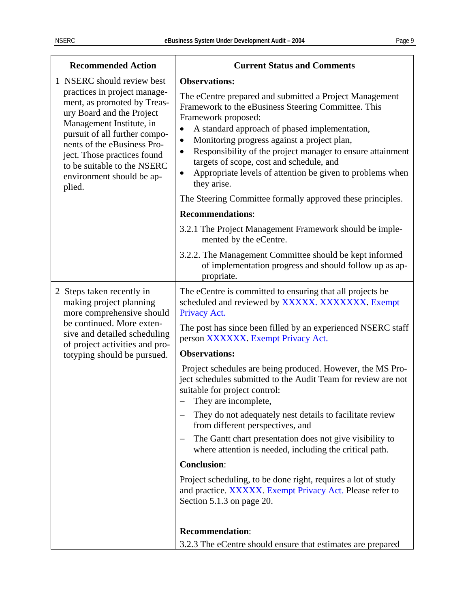|--|--|

<span id="page-12-0"></span>

| <b>Recommended Action</b>                                                                                                                                                                                                                                                                                               | <b>Current Status and Comments</b>                                                                                                                                                                                                                                                                                                                                                                                                                                                                                                               |
|-------------------------------------------------------------------------------------------------------------------------------------------------------------------------------------------------------------------------------------------------------------------------------------------------------------------------|--------------------------------------------------------------------------------------------------------------------------------------------------------------------------------------------------------------------------------------------------------------------------------------------------------------------------------------------------------------------------------------------------------------------------------------------------------------------------------------------------------------------------------------------------|
| 1 NSERC should review best<br>practices in project manage-<br>ment, as promoted by Treas-<br>ury Board and the Project<br>Management Institute, in<br>pursuit of all further compo-<br>nents of the eBusiness Pro-<br>ject. Those practices found<br>to be suitable to the NSERC<br>environment should be ap-<br>plied. | <b>Observations:</b><br>The eCentre prepared and submitted a Project Management<br>Framework to the eBusiness Steering Committee. This<br>Framework proposed:<br>A standard approach of phased implementation,<br>Monitoring progress against a project plan,<br>٠<br>Responsibility of the project manager to ensure attainment<br>$\bullet$<br>targets of scope, cost and schedule, and<br>Appropriate levels of attention be given to problems when<br>$\bullet$<br>they arise.<br>The Steering Committee formally approved these principles. |
|                                                                                                                                                                                                                                                                                                                         | <b>Recommendations:</b>                                                                                                                                                                                                                                                                                                                                                                                                                                                                                                                          |
|                                                                                                                                                                                                                                                                                                                         | 3.2.1 The Project Management Framework should be imple-<br>mented by the eCentre.                                                                                                                                                                                                                                                                                                                                                                                                                                                                |
|                                                                                                                                                                                                                                                                                                                         | 3.2.2. The Management Committee should be kept informed<br>of implementation progress and should follow up as ap-<br>propriate.                                                                                                                                                                                                                                                                                                                                                                                                                  |
| 2 Steps taken recently in<br>making project planning<br>more comprehensive should<br>be continued. More exten-<br>sive and detailed scheduling                                                                                                                                                                          | The eCentre is committed to ensuring that all projects be.<br>scheduled and reviewed by XXXXX. XXXXXXX. Exempt<br>Privacy Act.<br>The post has since been filled by an experienced NSERC staff<br>person XXXXXX. Exempt Privacy Act.                                                                                                                                                                                                                                                                                                             |
| of project activities and pro-<br>totyping should be pursued.                                                                                                                                                                                                                                                           | <b>Observations:</b>                                                                                                                                                                                                                                                                                                                                                                                                                                                                                                                             |
|                                                                                                                                                                                                                                                                                                                         | Project schedules are being produced. However, the MS Pro-<br>ject schedules submitted to the Audit Team for review are not<br>suitable for project control:<br>They are incomplete,                                                                                                                                                                                                                                                                                                                                                             |
|                                                                                                                                                                                                                                                                                                                         | They do not adequately nest details to facilitate review<br>from different perspectives, and                                                                                                                                                                                                                                                                                                                                                                                                                                                     |
|                                                                                                                                                                                                                                                                                                                         | The Gantt chart presentation does not give visibility to<br>where attention is needed, including the critical path.                                                                                                                                                                                                                                                                                                                                                                                                                              |
|                                                                                                                                                                                                                                                                                                                         | <b>Conclusion:</b>                                                                                                                                                                                                                                                                                                                                                                                                                                                                                                                               |
|                                                                                                                                                                                                                                                                                                                         | Project scheduling, to be done right, requires a lot of study<br>and practice. XXXXX. Exempt Privacy Act. Please refer to<br>Section 5.1.3 on page 20.                                                                                                                                                                                                                                                                                                                                                                                           |
|                                                                                                                                                                                                                                                                                                                         |                                                                                                                                                                                                                                                                                                                                                                                                                                                                                                                                                  |
|                                                                                                                                                                                                                                                                                                                         | <b>Recommendation:</b><br>3.2.3 The eCentre should ensure that estimates are prepared                                                                                                                                                                                                                                                                                                                                                                                                                                                            |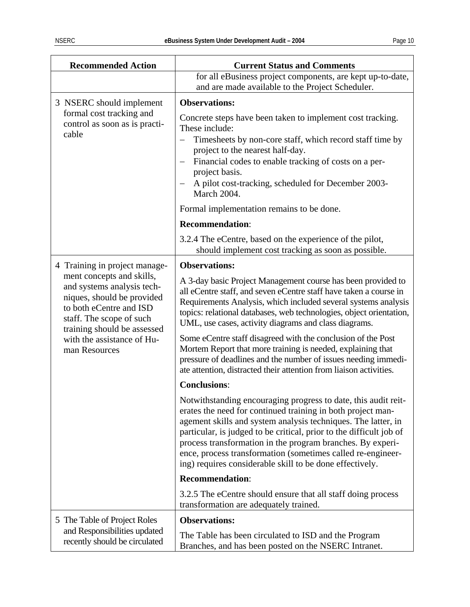<span id="page-13-0"></span>

| <b>Recommended Action</b>                                                                                                                                                   | <b>Current Status and Comments</b>                                                                                                                                                                                                                                                                                                                                                                                                                             |
|-----------------------------------------------------------------------------------------------------------------------------------------------------------------------------|----------------------------------------------------------------------------------------------------------------------------------------------------------------------------------------------------------------------------------------------------------------------------------------------------------------------------------------------------------------------------------------------------------------------------------------------------------------|
|                                                                                                                                                                             | for all eBusiness project components, are kept up-to-date,<br>and are made available to the Project Scheduler.                                                                                                                                                                                                                                                                                                                                                 |
| 3 NSERC should implement                                                                                                                                                    | <b>Observations:</b>                                                                                                                                                                                                                                                                                                                                                                                                                                           |
| formal cost tracking and<br>control as soon as is practi-<br>cable                                                                                                          | Concrete steps have been taken to implement cost tracking.<br>These include:<br>Timesheets by non-core staff, which record staff time by<br>project to the nearest half-day.<br>Financial codes to enable tracking of costs on a per-<br>—<br>project basis.<br>A pilot cost-tracking, scheduled for December 2003-<br><b>March 2004.</b>                                                                                                                      |
|                                                                                                                                                                             | Formal implementation remains to be done.                                                                                                                                                                                                                                                                                                                                                                                                                      |
|                                                                                                                                                                             | <b>Recommendation:</b>                                                                                                                                                                                                                                                                                                                                                                                                                                         |
|                                                                                                                                                                             | 3.2.4 The eCentre, based on the experience of the pilot,<br>should implement cost tracking as soon as possible.                                                                                                                                                                                                                                                                                                                                                |
| 4 Training in project manage-                                                                                                                                               | <b>Observations:</b>                                                                                                                                                                                                                                                                                                                                                                                                                                           |
| ment concepts and skills,<br>and systems analysis tech-<br>niques, should be provided<br>to both eCentre and ISD<br>staff. The scope of such<br>training should be assessed | A 3-day basic Project Management course has been provided to<br>all eCentre staff, and seven eCentre staff have taken a course in<br>Requirements Analysis, which included several systems analysis<br>topics: relational databases, web technologies, object orientation,<br>UML, use cases, activity diagrams and class diagrams.                                                                                                                            |
| with the assistance of Hu-<br>man Resources                                                                                                                                 | Some eCentre staff disagreed with the conclusion of the Post<br>Mortem Report that more training is needed, explaining that<br>pressure of deadlines and the number of issues needing immedi-<br>ate attention, distracted their attention from liaison activities.                                                                                                                                                                                            |
|                                                                                                                                                                             | <b>Conclusions:</b>                                                                                                                                                                                                                                                                                                                                                                                                                                            |
|                                                                                                                                                                             | Notwithstanding encouraging progress to date, this audit reit-<br>erates the need for continued training in both project man-<br>agement skills and system analysis techniques. The latter, in<br>particular, is judged to be critical, prior to the difficult job of<br>process transformation in the program branches. By experi-<br>ence, process transformation (sometimes called re-engineer-<br>ing) requires considerable skill to be done effectively. |
|                                                                                                                                                                             | <b>Recommendation:</b>                                                                                                                                                                                                                                                                                                                                                                                                                                         |
|                                                                                                                                                                             | 3.2.5 The eCentre should ensure that all staff doing process<br>transformation are adequately trained.                                                                                                                                                                                                                                                                                                                                                         |
| 5 The Table of Project Roles                                                                                                                                                | <b>Observations:</b>                                                                                                                                                                                                                                                                                                                                                                                                                                           |
| and Responsibilities updated<br>recently should be circulated                                                                                                               | The Table has been circulated to ISD and the Program<br>Branches, and has been posted on the NSERC Intranet.                                                                                                                                                                                                                                                                                                                                                   |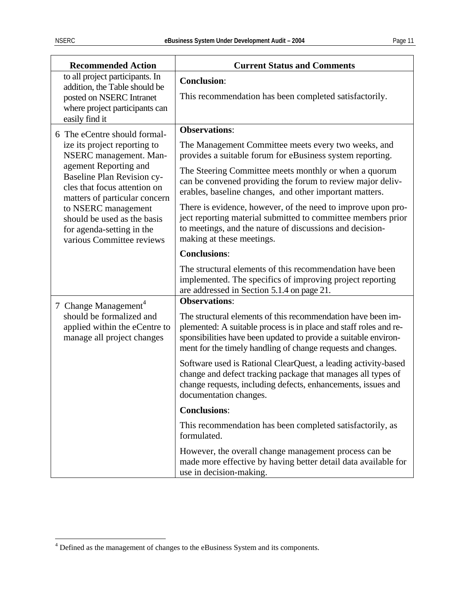| <b>Recommended Action</b>                                                                                                                        | <b>Current Status and Comments</b>                                                                                                                                                                                                                                   |  |
|--------------------------------------------------------------------------------------------------------------------------------------------------|----------------------------------------------------------------------------------------------------------------------------------------------------------------------------------------------------------------------------------------------------------------------|--|
| to all project participants. In<br>addition, the Table should be<br>posted on NSERC Intranet<br>where project participants can<br>easily find it | <b>Conclusion:</b><br>This recommendation has been completed satisfactorily.                                                                                                                                                                                         |  |
| 6 The eCentre should formal-                                                                                                                     | <b>Observations:</b>                                                                                                                                                                                                                                                 |  |
| ize its project reporting to<br>NSERC management. Man-                                                                                           | The Management Committee meets every two weeks, and<br>provides a suitable forum for eBusiness system reporting.                                                                                                                                                     |  |
| agement Reporting and<br><b>Baseline Plan Revision cy-</b><br>cles that focus attention on<br>matters of particular concern                      | The Steering Committee meets monthly or when a quorum<br>can be convened providing the forum to review major deliv-<br>erables, baseline changes, and other important matters.                                                                                       |  |
| to NSERC management<br>should be used as the basis<br>for agenda-setting in the<br>various Committee reviews                                     | There is evidence, however, of the need to improve upon pro-<br>ject reporting material submitted to committee members prior<br>to meetings, and the nature of discussions and decision-<br>making at these meetings.                                                |  |
|                                                                                                                                                  | <b>Conclusions:</b>                                                                                                                                                                                                                                                  |  |
|                                                                                                                                                  | The structural elements of this recommendation have been<br>implemented. The specifics of improving project reporting<br>are addressed in Section 5.1.4 on page 21.                                                                                                  |  |
| 7 Change Management <sup>4</sup>                                                                                                                 | <b>Observations:</b>                                                                                                                                                                                                                                                 |  |
| should be formalized and<br>applied within the eCentre to<br>manage all project changes                                                          | The structural elements of this recommendation have been im-<br>plemented: A suitable process is in place and staff roles and re-<br>sponsibilities have been updated to provide a suitable environ-<br>ment for the timely handling of change requests and changes. |  |
|                                                                                                                                                  | Software used is Rational ClearQuest, a leading activity-based<br>change and defect tracking package that manages all types of<br>change requests, including defects, enhancements, issues and<br>documentation changes.                                             |  |
|                                                                                                                                                  | <b>Conclusions:</b>                                                                                                                                                                                                                                                  |  |
|                                                                                                                                                  | This recommendation has been completed satisfactorily, as<br>formulated.                                                                                                                                                                                             |  |
|                                                                                                                                                  | However, the overall change management process can be<br>made more effective by having better detail data available for<br>use in decision-making.                                                                                                                   |  |

<span id="page-14-1"></span><span id="page-14-0"></span> 4 Defined as the management of changes to the eBusiness System and its components.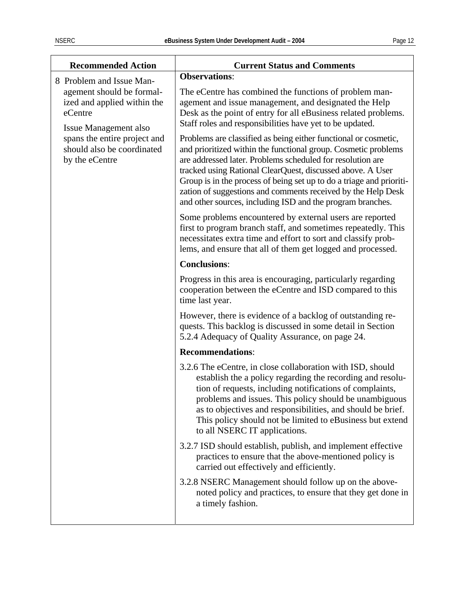| <b>Recommended Action</b>                                                                    | <b>Current Status and Comments</b>                                                                                                                                                                                                                                                                                                                                                                                                                                  |  |
|----------------------------------------------------------------------------------------------|---------------------------------------------------------------------------------------------------------------------------------------------------------------------------------------------------------------------------------------------------------------------------------------------------------------------------------------------------------------------------------------------------------------------------------------------------------------------|--|
| 8 Problem and Issue Man-                                                                     | <b>Observations:</b>                                                                                                                                                                                                                                                                                                                                                                                                                                                |  |
| agement should be formal-<br>ized and applied within the<br>eCentre<br>Issue Management also | The eCentre has combined the functions of problem man-<br>agement and issue management, and designated the Help<br>Desk as the point of entry for all eBusiness related problems.<br>Staff roles and responsibilities have yet to be updated.                                                                                                                                                                                                                       |  |
| spans the entire project and<br>should also be coordinated<br>by the eCentre                 | Problems are classified as being either functional or cosmetic,<br>and prioritized within the functional group. Cosmetic problems<br>are addressed later. Problems scheduled for resolution are<br>tracked using Rational ClearQuest, discussed above. A User<br>Group is in the process of being set up to do a triage and prioriti-<br>zation of suggestions and comments received by the Help Desk<br>and other sources, including ISD and the program branches. |  |
|                                                                                              | Some problems encountered by external users are reported<br>first to program branch staff, and sometimes repeatedly. This<br>necessitates extra time and effort to sort and classify prob-<br>lems, and ensure that all of them get logged and processed.                                                                                                                                                                                                           |  |
|                                                                                              | <b>Conclusions:</b>                                                                                                                                                                                                                                                                                                                                                                                                                                                 |  |
|                                                                                              | Progress in this area is encouraging, particularly regarding<br>cooperation between the eCentre and ISD compared to this<br>time last year.                                                                                                                                                                                                                                                                                                                         |  |
|                                                                                              | However, there is evidence of a backlog of outstanding re-<br>quests. This backlog is discussed in some detail in Section<br>5.2.4 Adequacy of Quality Assurance, on page 24.                                                                                                                                                                                                                                                                                       |  |
|                                                                                              | <b>Recommendations:</b>                                                                                                                                                                                                                                                                                                                                                                                                                                             |  |
|                                                                                              | 3.2.6 The eCentre, in close collaboration with ISD, should<br>establish the a policy regarding the recording and resolu-<br>tion of requests, including notifications of complaints,<br>problems and issues. This policy should be unambiguous<br>as to objectives and responsibilities, and should be brief.<br>This policy should not be limited to eBusiness but extend<br>to all NSERC IT applications.                                                         |  |
|                                                                                              | 3.2.7 ISD should establish, publish, and implement effective<br>practices to ensure that the above-mentioned policy is<br>carried out effectively and efficiently.                                                                                                                                                                                                                                                                                                  |  |
|                                                                                              | 3.2.8 NSERC Management should follow up on the above-<br>noted policy and practices, to ensure that they get done in<br>a timely fashion.                                                                                                                                                                                                                                                                                                                           |  |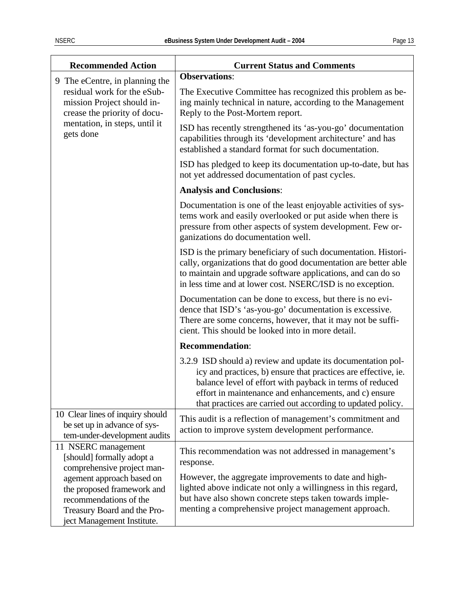| <b>Recommended Action</b>                                                                                                                      | <b>Current Status and Comments</b>                                                                                                                                                                                                                                                                                 |  |
|------------------------------------------------------------------------------------------------------------------------------------------------|--------------------------------------------------------------------------------------------------------------------------------------------------------------------------------------------------------------------------------------------------------------------------------------------------------------------|--|
| 9 The eCentre, in planning the                                                                                                                 | <b>Observations:</b>                                                                                                                                                                                                                                                                                               |  |
| residual work for the eSub-<br>mission Project should in-<br>crease the priority of docu-                                                      | The Executive Committee has recognized this problem as be-<br>ing mainly technical in nature, according to the Management<br>Reply to the Post-Mortem report.                                                                                                                                                      |  |
| mentation, in steps, until it<br>gets done                                                                                                     | ISD has recently strengthened its 'as-you-go' documentation<br>capabilities through its 'development architecture' and has<br>established a standard format for such documentation.                                                                                                                                |  |
|                                                                                                                                                | ISD has pledged to keep its documentation up-to-date, but has<br>not yet addressed documentation of past cycles.                                                                                                                                                                                                   |  |
|                                                                                                                                                | <b>Analysis and Conclusions:</b>                                                                                                                                                                                                                                                                                   |  |
|                                                                                                                                                | Documentation is one of the least enjoyable activities of sys-<br>tems work and easily overlooked or put aside when there is<br>pressure from other aspects of system development. Few or-<br>ganizations do documentation well.                                                                                   |  |
|                                                                                                                                                | ISD is the primary beneficiary of such documentation. Histori-<br>cally, organizations that do good documentation are better able<br>to maintain and upgrade software applications, and can do so<br>in less time and at lower cost. NSERC/ISD is no exception.                                                    |  |
|                                                                                                                                                | Documentation can be done to excess, but there is no evi-<br>dence that ISD's 'as-you-go' documentation is excessive.<br>There are some concerns, however, that it may not be suffi-<br>cient. This should be looked into in more detail.                                                                          |  |
|                                                                                                                                                | <b>Recommendation:</b>                                                                                                                                                                                                                                                                                             |  |
|                                                                                                                                                | 3.2.9 ISD should a) review and update its documentation pol-<br>icy and practices, b) ensure that practices are effective, ie.<br>balance level of effort with payback in terms of reduced<br>effort in maintenance and enhancements, and c) ensure<br>that practices are carried out according to updated policy. |  |
| 10 Clear lines of inquiry should<br>be set up in advance of sys-<br>tem-under-development audits                                               | This audit is a reflection of management's commitment and<br>action to improve system development performance.                                                                                                                                                                                                     |  |
| 11 NSERC management<br>[should] formally adopt a<br>comprehensive project man-                                                                 | This recommendation was not addressed in management's<br>response.                                                                                                                                                                                                                                                 |  |
| agement approach based on<br>the proposed framework and<br>recommendations of the<br>Treasury Board and the Pro-<br>ject Management Institute. | However, the aggregate improvements to date and high-<br>lighted above indicate not only a willingness in this regard,<br>but have also shown concrete steps taken towards imple-<br>menting a comprehensive project management approach.                                                                          |  |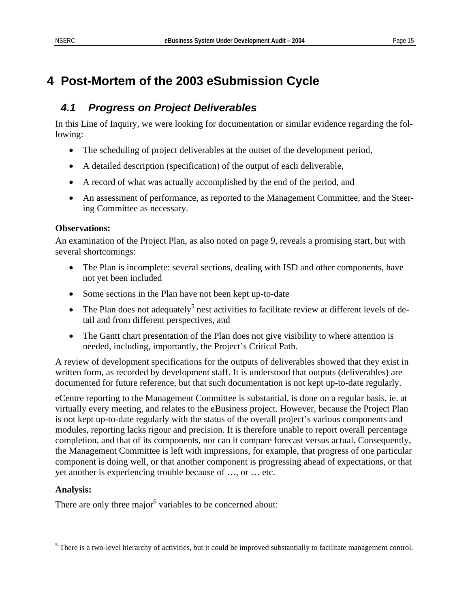# <span id="page-18-0"></span>**4 Post-Mortem of the 2003 eSubmission Cycle**

### <span id="page-18-3"></span>*4.1 Progress on Project Deliverables*

In this Line of Inquiry, we were looking for documentation or similar evidence regarding the following:

- The scheduling of project deliverables at the outset of the development period,
- A detailed description (specification) of the output of each deliverable,
- A record of what was actually accomplished by the end of the period, and
- An assessment of performance, as reported to the Management Committee, and the Steering Committee as necessary.

### **Observations:**

An examination of the Project Plan, as also noted on page [9,](#page-12-0) reveals a promising start, but with several shortcomings:

- The Plan is incomplete: several sections, dealing with ISD and other components, have not yet been included
- Some sections in the Plan have not been kept up-to-date
- The Plan does not adequately<sup>5</sup> nest activities to facilitate review at different levels of detail and from different perspectives, and
- The Gantt chart presentation of the Plan does not give visibility to where attention is needed, including, importantly, the Project's Critical Path.

A review of development specifications for the outputs of deliverables showed that they exist in written form, as recorded by development staff. It is understood that outputs (deliverables) are documented for future reference, but that such documentation is not kept up-to-date regularly.

eCentre reporting to the Management Committee is substantial, is done on a regular basis, ie. at virtually every meeting, and relates to the eBusiness project. However, because the Project Plan is not kept up-to-date regularly with the status of the overall project's various components and modules, reporting lacks rigour and precision. It is therefore unable to report overall percentage completion, and that of its components, nor can it compare forecast versus actual. Consequently, the Management Committee is left with impressions, for example, that progress of one particular component is doing well, or that another component is progressing ahead of expectations, or that yet another is experiencing trouble because of …, or … etc.

### **Analysis:**

<span id="page-18-2"></span> $\overline{a}$ 

There are only three major<sup>[6](#page-18-2)</sup> variables to be concerned about:

<span id="page-18-1"></span> $<sup>5</sup>$  There is a two-level hierarchy of activities, but it could be improved substantially to facilitate management control.</sup>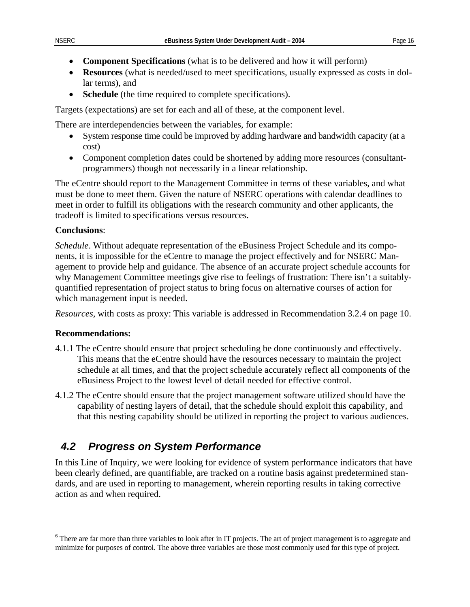- <span id="page-19-0"></span>• **Component Specifications** (what is to be delivered and how it will perform)
- **Resources** (what is needed/used to meet specifications, usually expressed as costs in dollar terms), and
- **Schedule** (the time required to complete specifications).

Targets (expectations) are set for each and all of these, at the component level.

There are interdependencies between the variables, for example:

- System response time could be improved by adding hardware and bandwidth capacity (at a cost)
- Component completion dates could be shortened by adding more resources (consultantprogrammers) though not necessarily in a linear relationship.

The eCentre should report to the Management Committee in terms of these variables, and what must be done to meet them. Given the nature of NSERC operations with calendar deadlines to meet in order to fulfill its obligations with the research community and other applicants, the tradeoff is limited to specifications versus resources.

### **Conclusions**:

*Schedule*. Without adequate representation of the eBusiness Project Schedule and its components, it is impossible for the eCentre to manage the project effectively and for NSERC Management to provide help and guidance. The absence of an accurate project schedule accounts for why Management Committee meetings give rise to feelings of frustration: There isn't a suitablyquantified representation of project status to bring focus on alternative courses of action for which management input is needed.

*Resources*, with costs as proxy: This variable is addressed in Recommendation 3.2.4 on page [10.](#page-13-0)

### **Recommendations:**

- 4.1.1 The eCentre should ensure that project scheduling be done continuously and effectively. This means that the eCentre should have the resources necessary to maintain the project schedule at all times, and that the project schedule accurately reflect all components of the eBusiness Project to the lowest level of detail needed for effective control.
- 4.1.2 The eCentre should ensure that the project management software utilized should have the capability of nesting layers of detail, that the schedule should exploit this capability, and that this nesting capability should be utilized in reporting the project to various audiences.

### *4.2 Progress on System Performance*

In this Line of Inquiry, we were looking for evidence of system performance indicators that have been clearly defined, are quantifiable, are tracked on a routine basis against predetermined standards, and are used in reporting to management, wherein reporting results in taking corrective action as and when required.

 $\frac{1}{6}$ <sup>6</sup> There are far more than three variables to look after in IT projects. The art of project management is to aggregate and minimize for purposes of control. The above three variables are those most commonly used for this type of project.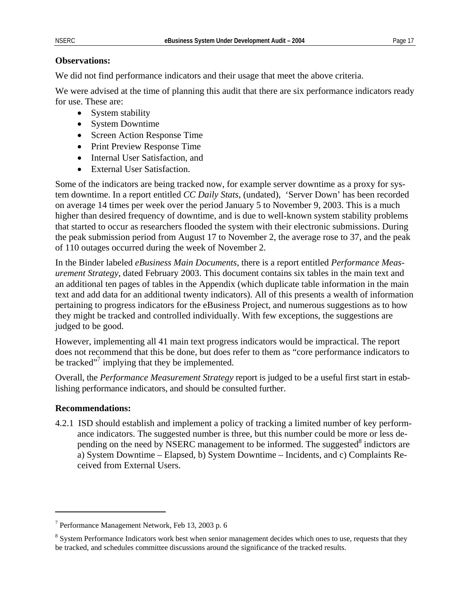#### **Observations:**

We did not find performance indicators and their usage that meet the above criteria.

We were advised at the time of planning this audit that there are six performance indicators ready for use. These are:

- System stability
- System Downtime
- Screen Action Response Time
- Print Preview Response Time
- Internal User Satisfaction, and
- External User Satisfaction.

Some of the indicators are being tracked now, for example server downtime as a proxy for system downtime. In a report entitled *CC Daily Stats*, (undated), 'Server Down' has been recorded on average 14 times per week over the period January 5 to November 9, 2003. This is a much higher than desired frequency of downtime, and is due to well-known system stability problems that started to occur as researchers flooded the system with their electronic submissions. During the peak submission period from August 17 to November 2, the average rose to 37, and the peak of 110 outages occurred during the week of November 2.

In the Binder labeled *eBusiness Main Documents*, there is a report entitled *Performance Measurement Strategy*, dated February 2003. This document contains six tables in the main text and an additional ten pages of tables in the Appendix (which duplicate table information in the main text and add data for an additional twenty indicators). All of this presents a wealth of information pertaining to progress indicators for the eBusiness Project, and numerous suggestions as to how they might be tracked and controlled individually. With few exceptions, the suggestions are judged to be good.

However, implementing all 41 main text progress indicators would be impractical. The report does not recommend that this be done, but does refer to them as "core performance indicators to be tracked"<sup>7</sup> implying that they be implemented.

Overall, the *Performance Measurement Strategy* report is judged to be a useful first start in establishing performance indicators, and should be consulted further.

#### **Recommendations:**

 $\overline{a}$ 

4.2.1 ISD should establish and implement a policy of tracking a limited number of key performance indicators. The suggested number is three, but this number could be more or less depending on the need by NSERC management to be informed. The suggested $\delta$  indictors are a) System Downtime – Elapsed, b) System Downtime – Incidents, and c) Complaints Received from External Users.

<span id="page-20-0"></span><sup>7</sup> Performance Management Network, Feb 13, 2003 p. 6

<span id="page-20-1"></span><sup>&</sup>lt;sup>8</sup> System Performance Indicators work best when senior management decides which ones to use, requests that they be tracked, and schedules committee discussions around the significance of the tracked results.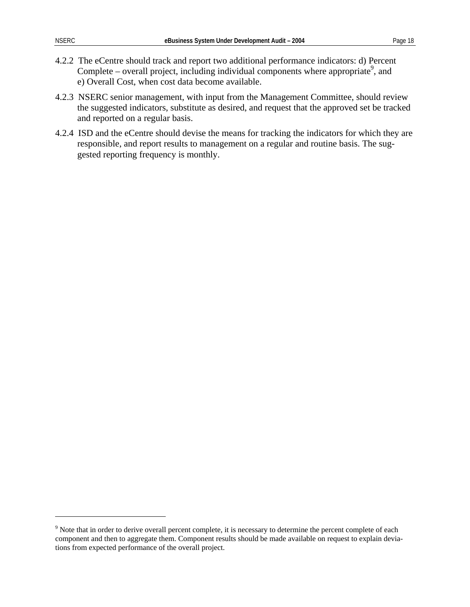$\overline{a}$ 

- 4.2.2 The eCentre should track and report two additional performance indicators: d) Percent Complete – overall project, including individual components where appropriate<sup>9</sup>, and e) Overall Cost, when cost data become available.
- 4.2.3 NSERC senior management, with input from the Management Committee, should review the suggested indicators, substitute as desired, and request that the approved set be tracked and reported on a regular basis.
- 4.2.4 ISD and the eCentre should devise the means for tracking the indicators for which they are responsible, and report results to management on a regular and routine basis. The suggested reporting frequency is monthly.

<span id="page-21-0"></span> $9$  Note that in order to derive overall percent complete, it is necessary to determine the percent complete of each component and then to aggregate them. Component results should be made available on request to explain deviations from expected performance of the overall project.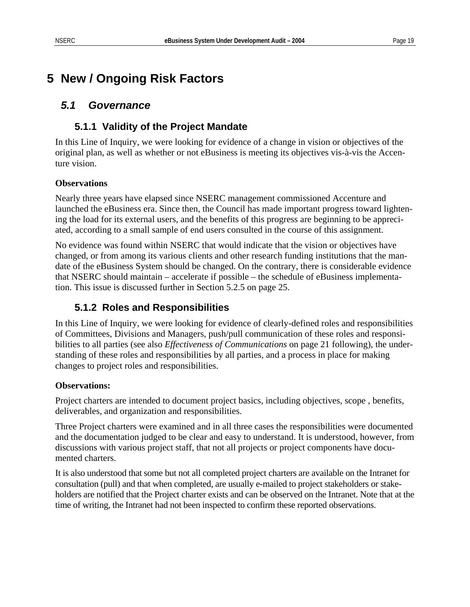## <span id="page-22-0"></span>**5 New / Ongoing Risk Factors**

### *5.1 Governance*

### **5.1.1 Validity of the Project Mandate**

In this Line of Inquiry, we were looking for evidence of a change in vision or objectives of the original plan, as well as whether or not eBusiness is meeting its objectives vis-à-vis the Accenture vision.

### **Observations**

Nearly three years have elapsed since NSERC management commissioned Accenture and launched the eBusiness era. Since then, the Council has made important progress toward lightening the load for its external users, and the benefits of this progress are beginning to be appreciated, according to a small sample of end users consulted in the course of this assignment.

No evidence was found within NSERC that would indicate that the vision or objectives have changed, or from among its various clients and other research funding institutions that the mandate of the eBusiness System should be changed. On the contrary, there is considerable evidence that NSERC should maintain – accelerate if possible – the schedule of eBusiness implementation. This issue is discussed further in Section [5.2.5](#page-28-0) on page [25.](#page-28-0)

### **5.1.2 Roles and Responsibilities**

In this Line of Inquiry, we were looking for evidence of clearly-defined roles and responsibilities of Committees, Divisions and Managers, push/pull communication of these roles and responsibilities to all parties (see also *Effectiveness of Communications* on page [21](#page-24-0) following), the understanding of these roles and responsibilities by all parties, and a process in place for making changes to project roles and responsibilities.

### **Observations:**

Project charters are intended to document project basics, including objectives, scope , benefits, deliverables, and organization and responsibilities.

Three Project charters were examined and in all three cases the responsibilities were documented and the documentation judged to be clear and easy to understand. It is understood, however, from discussions with various project staff, that not all projects or project components have documented charters.

It is also understood that some but not all completed project charters are available on the Intranet for consultation (pull) and that when completed, are usually e-mailed to project stakeholders or stakeholders are notified that the Project charter exists and can be observed on the Intranet. Note that at the time of writing, the Intranet had not been inspected to confirm these reported observations.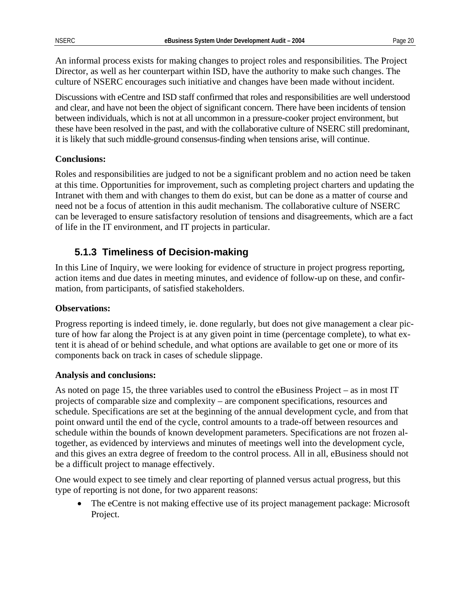An informal process exists for making changes to project roles and responsibilities. The Project Director, as well as her counterpart within ISD, have the authority to make such changes. The culture of NSERC encourages such initiative and changes have been made without incident.

Discussions with eCentre and ISD staff confirmed that roles and responsibilities are well understood and clear, and have not been the object of significant concern. There have been incidents of tension between individuals, which is not at all uncommon in a pressure-cooker project environment, but these have been resolved in the past, and with the collaborative culture of NSERC still predominant, it is likely that such middle-ground consensus-finding when tensions arise, will continue.

#### **Conclusions:**

Roles and responsibilities are judged to not be a significant problem and no action need be taken at this time. Opportunities for improvement, such as completing project charters and updating the Intranet with them and with changes to them do exist, but can be done as a matter of course and need not be a focus of attention in this audit mechanism. The collaborative culture of NSERC can be leveraged to ensure satisfactory resolution of tensions and disagreements, which are a fact of life in the IT environment, and IT projects in particular.

### <span id="page-23-0"></span>**5.1.3 Timeliness of Decision-making**

In this Line of Inquiry, we were looking for evidence of structure in project progress reporting, action items and due dates in meeting minutes, and evidence of follow-up on these, and confirmation, from participants, of satisfied stakeholders.

### **Observations:**

Progress reporting is indeed timely, ie. done regularly, but does not give management a clear picture of how far along the Project is at any given point in time (percentage complete), to what extent it is ahead of or behind schedule, and what options are available to get one or more of its components back on track in cases of schedule slippage.

#### **Analysis and conclusions:**

As noted on page [15,](#page-18-3) the three variables used to control the eBusiness Project – as in most IT projects of comparable size and complexity – are component specifications, resources and schedule. Specifications are set at the beginning of the annual development cycle, and from that point onward until the end of the cycle, control amounts to a trade-off between resources and schedule within the bounds of known development parameters. Specifications are not frozen altogether, as evidenced by interviews and minutes of meetings well into the development cycle, and this gives an extra degree of freedom to the control process. All in all, eBusiness should not be a difficult project to manage effectively.

One would expect to see timely and clear reporting of planned versus actual progress, but this type of reporting is not done, for two apparent reasons:

• The eCentre is not making effective use of its project management package: Microsoft Project.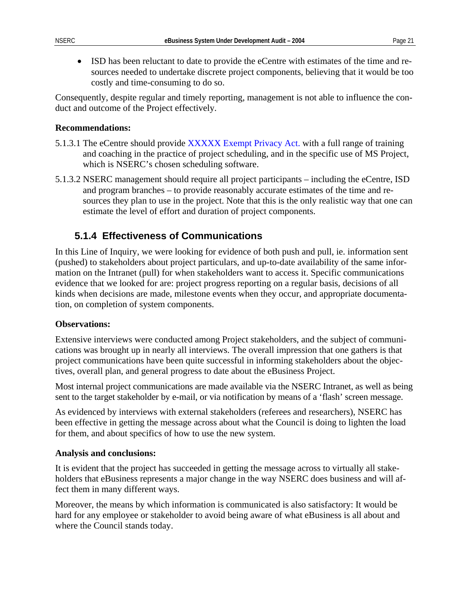• ISD has been reluctant to date to provide the eCentre with estimates of the time and resources needed to undertake discrete project components, believing that it would be too costly and time-consuming to do so.

Consequently, despite regular and timely reporting, management is not able to influence the conduct and outcome of the Project effectively.

#### **Recommendations:**

- 5.1.3.1 The eCentre should provide XXXXX Exempt Privacy Act. with a full range of training and coaching in the practice of project scheduling, and in the specific use of MS Project, which is NSERC's chosen scheduling software.
- 5.1.3.2 NSERC management should require all project participants including the eCentre, ISD and program branches – to provide reasonably accurate estimates of the time and resources they plan to use in the project. Note that this is the only realistic way that one can estimate the level of effort and duration of project components.

### <span id="page-24-0"></span>**5.1.4 Effectiveness of Communications**

In this Line of Inquiry, we were looking for evidence of both push and pull, ie. information sent (pushed) to stakeholders about project particulars, and up-to-date availability of the same information on the Intranet (pull) for when stakeholders want to access it. Specific communications evidence that we looked for are: project progress reporting on a regular basis, decisions of all kinds when decisions are made, milestone events when they occur, and appropriate documentation, on completion of system components.

#### **Observations:**

Extensive interviews were conducted among Project stakeholders, and the subject of communications was brought up in nearly all interviews. The overall impression that one gathers is that project communications have been quite successful in informing stakeholders about the objectives, overall plan, and general progress to date about the eBusiness Project.

Most internal project communications are made available via the NSERC Intranet, as well as being sent to the target stakeholder by e-mail, or via notification by means of a 'flash' screen message.

As evidenced by interviews with external stakeholders (referees and researchers), NSERC has been effective in getting the message across about what the Council is doing to lighten the load for them, and about specifics of how to use the new system.

#### **Analysis and conclusions:**

It is evident that the project has succeeded in getting the message across to virtually all stakeholders that eBusiness represents a major change in the way NSERC does business and will affect them in many different ways.

Moreover, the means by which information is communicated is also satisfactory: It would be hard for any employee or stakeholder to avoid being aware of what eBusiness is all about and where the Council stands today.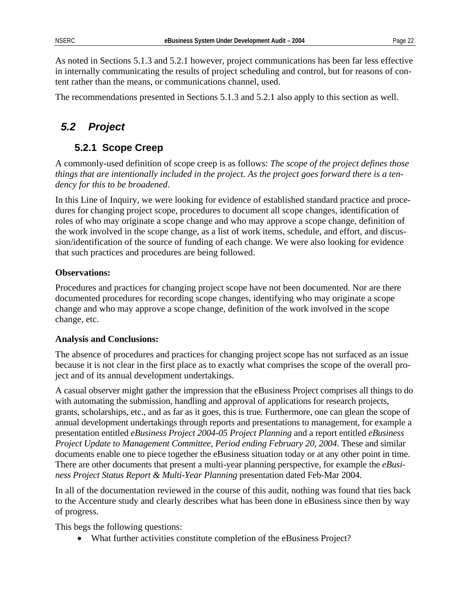<span id="page-25-0"></span>As noted in Sections [5.1.3](#page-23-0) and [5.2.1](#page-25-1) however, project communications has been far less effective in internally communicating the results of project scheduling and control, but for reasons of content rather than the means, or communications channel, used.

The recommendations presented in Sections [5.1.3](#page-23-0) and [5.2.1](#page-25-1) also apply to this section as well.

### *5.2 Project*

### <span id="page-25-1"></span>**5.2.1 Scope Creep**

A commonly-used definition of scope creep is as follows: *The scope of the project defines those things that are intentionally included in the project. As the project goes forward there is a tendency for this to be broadened*.

In this Line of Inquiry, we were looking for evidence of established standard practice and procedures for changing project scope, procedures to document all scope changes, identification of roles of who may originate a scope change and who may approve a scope change, definition of the work involved in the scope change, as a list of work items, schedule, and effort, and discussion/identification of the source of funding of each change. We were also looking for evidence that such practices and procedures are being followed.

### **Observations:**

Procedures and practices for changing project scope have not been documented. Nor are there documented procedures for recording scope changes, identifying who may originate a scope change and who may approve a scope change, definition of the work involved in the scope change, etc.

#### **Analysis and Conclusions:**

The absence of procedures and practices for changing project scope has not surfaced as an issue because it is not clear in the first place as to exactly what comprises the scope of the overall project and of its annual development undertakings.

A casual observer might gather the impression that the eBusiness Project comprises all things to do with automating the submission, handling and approval of applications for research projects, grants, scholarships, etc., and as far as it goes, this is true. Furthermore, one can glean the scope of annual development undertakings through reports and presentations to management, for example a presentation entitled *eBusiness Project 2004-05 Project Planning* and a report entitled *eBusiness Project Update to Management Committee, Period ending February 20, 2004*. These and similar documents enable one to piece together the eBusiness situation today or at any other point in time. There are other documents that present a multi-year planning perspective, for example the *eBusiness Project Status Report & Multi-Year Planning* presentation dated Feb-Mar 2004.

In all of the documentation reviewed in the course of this audit, nothing was found that ties back to the Accenture study and clearly describes what has been done in eBusiness since then by way of progress.

This begs the following questions:

• What further activities constitute completion of the eBusiness Project?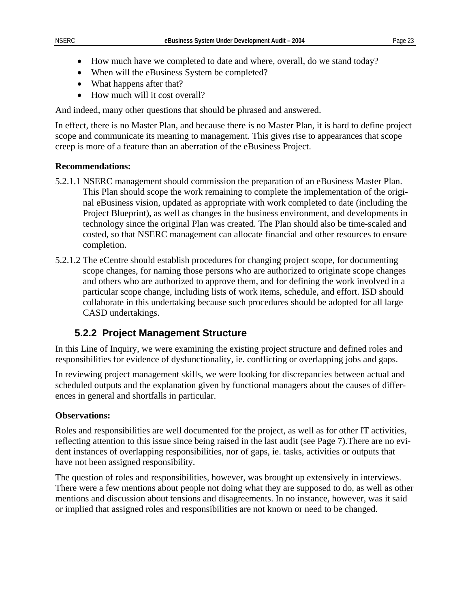- How much have we completed to date and where, overall, do we stand today?
- When will the eBusiness System be completed?
- What happens after that?
- How much will it cost overall?

And indeed, many other questions that should be phrased and answered.

In effect, there is no Master Plan, and because there is no Master Plan, it is hard to define project scope and communicate its meaning to management. This gives rise to appearances that scope creep is more of a feature than an aberration of the eBusiness Project.

#### **Recommendations:**

- 5.2.1.1 NSERC management should commission the preparation of an eBusiness Master Plan. This Plan should scope the work remaining to complete the implementation of the original eBusiness vision, updated as appropriate with work completed to date (including the Project Blueprint), as well as changes in the business environment, and developments in technology since the original Plan was created. The Plan should also be time-scaled and costed, so that NSERC management can allocate financial and other resources to ensure completion.
- 5.2.1.2 The eCentre should establish procedures for changing project scope, for documenting scope changes, for naming those persons who are authorized to originate scope changes and others who are authorized to approve them, and for defining the work involved in a particular scope change, including lists of work items, schedule, and effort. ISD should collaborate in this undertaking because such procedures should be adopted for all large CASD undertakings.

### **5.2.2 Project Management Structure**

In this Line of Inquiry, we were examining the existing project structure and defined roles and responsibilities for evidence of dysfunctionality, ie. conflicting or overlapping jobs and gaps.

In reviewing project management skills, we were looking for discrepancies between actual and scheduled outputs and the explanation given by functional managers about the causes of differences in general and shortfalls in particular.

### **Observations:**

Roles and responsibilities are well documented for the project, as well as for other IT activities, reflecting attention to this issue since being raised in the last audit (see Page [7\)](#page-10-1).There are no evident instances of overlapping responsibilities, nor of gaps, ie. tasks, activities or outputs that have not been assigned responsibility.

The question of roles and responsibilities, however, was brought up extensively in interviews. There were a few mentions about people not doing what they are supposed to do, as well as other mentions and discussion about tensions and disagreements. In no instance, however, was it said or implied that assigned roles and responsibilities are not known or need to be changed.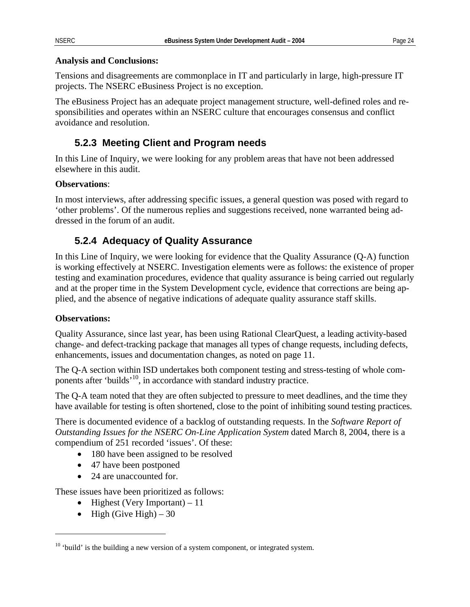#### **Analysis and Conclusions:**

Tensions and disagreements are commonplace in IT and particularly in large, high-pressure IT projects. The NSERC eBusiness Project is no exception.

The eBusiness Project has an adequate project management structure, well-defined roles and responsibilities and operates within an NSERC culture that encourages consensus and conflict avoidance and resolution.

### **5.2.3 Meeting Client and Program needs**

In this Line of Inquiry, we were looking for any problem areas that have not been addressed elsewhere in this audit.

#### **Observations**:

In most interviews, after addressing specific issues, a general question was posed with regard to 'other problems'. Of the numerous replies and suggestions received, none warranted being addressed in the forum of an audit.

### <span id="page-27-0"></span>**5.2.4 Adequacy of Quality Assurance**

In this Line of Inquiry, we were looking for evidence that the Quality Assurance (Q-A) function is working effectively at NSERC. Investigation elements were as follows: the existence of proper testing and examination procedures, evidence that quality assurance is being carried out regularly and at the proper time in the System Development cycle, evidence that corrections are being applied, and the absence of negative indications of adequate quality assurance staff skills.

### **Observations:**

 $\overline{a}$ 

Quality Assurance, since last year, has been using Rational ClearQuest, a leading activity-based change- and defect-tracking package that manages all types of change requests, including defects, enhancements, issues and documentation changes, as noted on page [11.](#page-14-1)

The Q-A section within ISD undertakes both component testing and stress-testing of whole components after 'builds'[10,](#page-27-1) in accordance with standard industry practice.

The Q-A team noted that they are often subjected to pressure to meet deadlines, and the time they have available for testing is often shortened, close to the point of inhibiting sound testing practices.

There is documented evidence of a backlog of outstanding requests. In the *Software Report of Outstanding Issues for the NSERC On-Line Application System* dated March 8, 2004, there is a compendium of 251 recorded 'issues'. Of these:

- 180 have been assigned to be resolved
- 47 have been postponed
- 24 are unaccounted for.

These issues have been prioritized as follows:

- Highest (Very Important)  $-11$
- High (Give High)  $-30$

<span id="page-27-1"></span><sup>&</sup>lt;sup>10</sup> 'build' is the building a new version of a system component, or integrated system.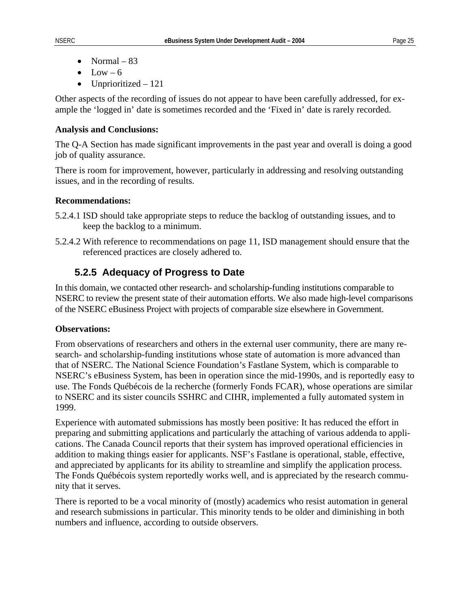- Normal  $-83$
- $\bullet$  Low 6
- Unprioritized 121

Other aspects of the recording of issues do not appear to have been carefully addressed, for example the 'logged in' date is sometimes recorded and the 'Fixed in' date is rarely recorded.

#### **Analysis and Conclusions:**

The Q-A Section has made significant improvements in the past year and overall is doing a good job of quality assurance.

There is room for improvement, however, particularly in addressing and resolving outstanding issues, and in the recording of results.

#### **Recommendations:**

- 5.2.4.1 ISD should take appropriate steps to reduce the backlog of outstanding issues, and to keep the backlog to a minimum.
- 5.2.4.2 With reference to recommendations on page [11,](#page-14-1) ISD management should ensure that the referenced practices are closely adhered to.

### <span id="page-28-0"></span>**5.2.5 Adequacy of Progress to Date**

In this domain, we contacted other research- and scholarship-funding institutions comparable to NSERC to review the present state of their automation efforts. We also made high-level comparisons of the NSERC eBusiness Project with projects of comparable size elsewhere in Government.

#### **Observations:**

From observations of researchers and others in the external user community, there are many research- and scholarship-funding institutions whose state of automation is more advanced than that of NSERC. The National Science Foundation's Fastlane System, which is comparable to NSERC's eBusiness System, has been in operation since the mid-1990s, and is reportedly easy to use. The Fonds Québécois de la recherche (formerly Fonds FCAR), whose operations are similar to NSERC and its sister councils SSHRC and CIHR, implemented a fully automated system in 1999.

Experience with automated submissions has mostly been positive: It has reduced the effort in preparing and submitting applications and particularly the attaching of various addenda to applications. The Canada Council reports that their system has improved operational efficiencies in addition to making things easier for applicants. NSF's Fastlane is operational, stable, effective, and appreciated by applicants for its ability to streamline and simplify the application process. The Fonds Québécois system reportedly works well, and is appreciated by the research community that it serves.

There is reported to be a vocal minority of (mostly) academics who resist automation in general and research submissions in particular. This minority tends to be older and diminishing in both numbers and influence, according to outside observers.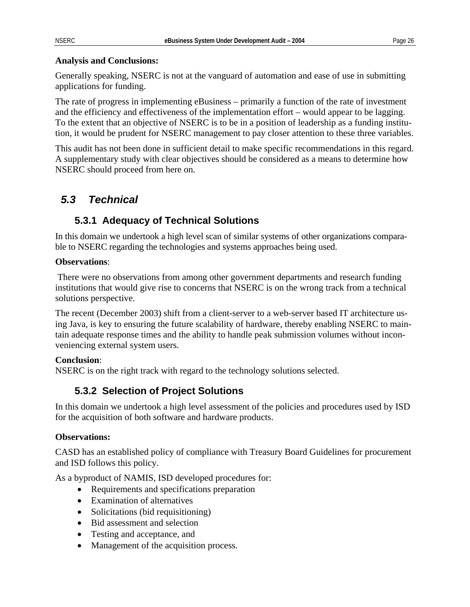### <span id="page-29-0"></span>**Analysis and Conclusions:**

Generally speaking, NSERC is not at the vanguard of automation and ease of use in submitting applications for funding.

The rate of progress in implementing eBusiness – primarily a function of the rate of investment and the efficiency and effectiveness of the implementation effort – would appear to be lagging. To the extent that an objective of NSERC is to be in a position of leadership as a funding institution, it would be prudent for NSERC management to pay closer attention to these three variables.

This audit has not been done in sufficient detail to make specific recommendations in this regard. A supplementary study with clear objectives should be considered as a means to determine how NSERC should proceed from here on.

### *5.3 Technical*

### **5.3.1 Adequacy of Technical Solutions**

In this domain we undertook a high level scan of similar systems of other organizations comparable to NSERC regarding the technologies and systems approaches being used.

### **Observations**:

 There were no observations from among other government departments and research funding institutions that would give rise to concerns that NSERC is on the wrong track from a technical solutions perspective.

The recent (December 2003) shift from a client-server to a web-server based IT architecture using Java, is key to ensuring the future scalability of hardware, thereby enabling NSERC to maintain adequate response times and the ability to handle peak submission volumes without inconveniencing external system users.

### **Conclusion**:

NSERC is on the right track with regard to the technology solutions selected.

### **5.3.2 Selection of Project Solutions**

In this domain we undertook a high level assessment of the policies and procedures used by ISD for the acquisition of both software and hardware products.

### **Observations:**

CASD has an established policy of compliance with Treasury Board Guidelines for procurement and ISD follows this policy.

As a byproduct of NAMIS, ISD developed procedures for:

- Requirements and specifications preparation
- Examination of alternatives
- Solicitations (bid requisitioning)
- Bid assessment and selection
- Testing and acceptance, and
- Management of the acquisition process.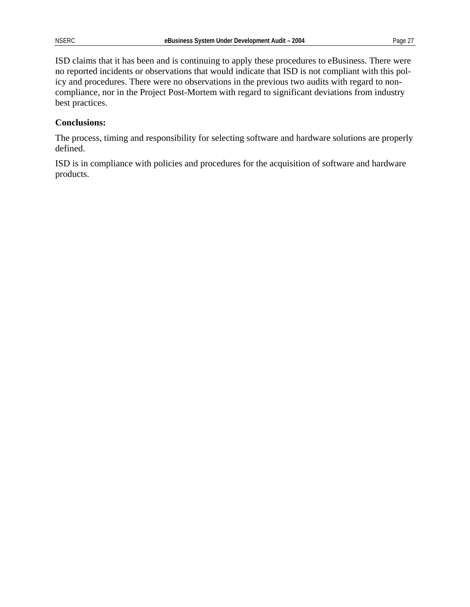ISD claims that it has been and is continuing to apply these procedures to eBusiness. There were no reported incidents or observations that would indicate that ISD is not compliant with this policy and procedures. There were no observations in the previous two audits with regard to noncompliance, nor in the Project Post-Mortem with regard to significant deviations from industry best practices.

### **Conclusions:**

The process, timing and responsibility for selecting software and hardware solutions are properly defined.

ISD is in compliance with policies and procedures for the acquisition of software and hardware products.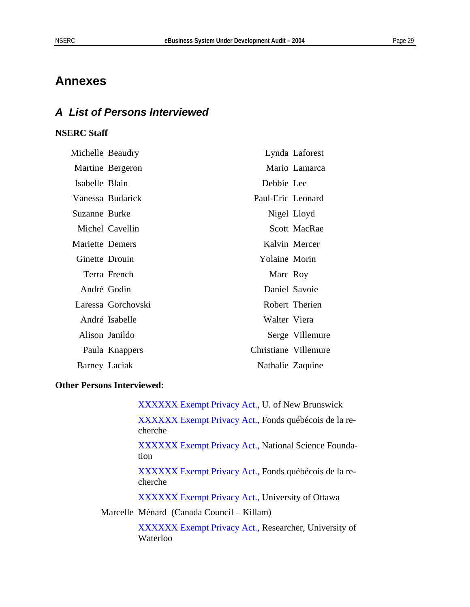### <span id="page-32-0"></span>**Annexes**

### *A List of Persons Interviewed*

### **NSERC Staff**

| Michelle Beaudry |                    |                      | Lynda Laforest  |
|------------------|--------------------|----------------------|-----------------|
|                  | Martine Bergeron   |                      | Mario Lamarca   |
| Isabelle Blain   |                    | Debbie Lee           |                 |
|                  | Vanessa Budarick   | Paul-Eric Leonard    |                 |
| Suzanne Burke    |                    |                      | Nigel Lloyd     |
|                  | Michel Cavellin    |                      | Scott MacRae    |
| Mariette Demers  |                    |                      | Kalvin Mercer   |
| Ginette Drouin   |                    | Yolaine Morin        |                 |
|                  | Terra French       | Marc Roy             |                 |
| André Godin      |                    |                      | Daniel Savoie   |
|                  | Laressa Gorchovski |                      | Robert Therien  |
|                  | André Isabelle     | Walter Viera         |                 |
|                  | Alison Janildo     |                      | Serge Villemure |
|                  | Paula Knappers     | Christiane Villemure |                 |
| Barney Laciak    |                    | Nathalie Zaquine     |                 |

#### **Other Persons Interviewed:**

XXXXXX Exempt Privacy Act., U. of New Brunswick XXXXXX Exempt Privacy Act., Fonds québécois de la recherche XXXXXX Exempt Privacy Act., National Science Foundation XXXXXX Exempt Privacy Act., Fonds québécois de la recherche XXXXXX Exempt Privacy Act., University of Ottawa Marcelle Ménard (Canada Council – Killam) XXXXXX Exempt Privacy Act., Researcher, University of Waterloo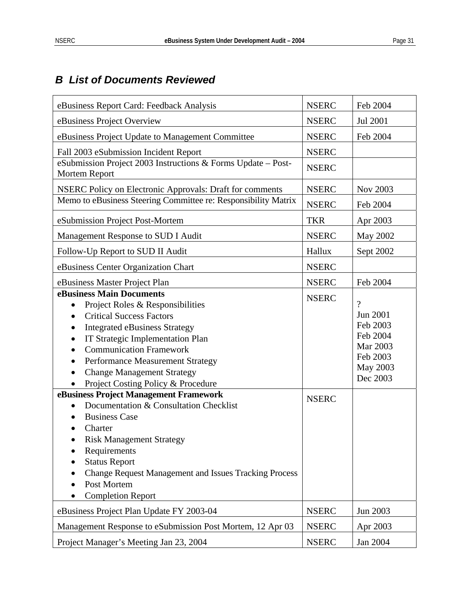### <span id="page-34-0"></span>*B List of Documents Reviewed*

| eBusiness Report Card: Feedback Analysis                                                                                                                                                                                                                                                                                                                                                                                                       | <b>NSERC</b> | Feb 2004                                                                                     |
|------------------------------------------------------------------------------------------------------------------------------------------------------------------------------------------------------------------------------------------------------------------------------------------------------------------------------------------------------------------------------------------------------------------------------------------------|--------------|----------------------------------------------------------------------------------------------|
| eBusiness Project Overview                                                                                                                                                                                                                                                                                                                                                                                                                     | <b>NSERC</b> | Jul 2001                                                                                     |
| eBusiness Project Update to Management Committee                                                                                                                                                                                                                                                                                                                                                                                               | <b>NSERC</b> | Feb 2004                                                                                     |
| Fall 2003 eSubmission Incident Report                                                                                                                                                                                                                                                                                                                                                                                                          | <b>NSERC</b> |                                                                                              |
| eSubmission Project 2003 Instructions & Forms Update - Post-<br>Mortem Report                                                                                                                                                                                                                                                                                                                                                                  | <b>NSERC</b> |                                                                                              |
| <b>NSERC Policy on Electronic Approvals: Draft for comments</b>                                                                                                                                                                                                                                                                                                                                                                                | <b>NSERC</b> | Nov 2003                                                                                     |
| Memo to eBusiness Steering Committee re: Responsibility Matrix                                                                                                                                                                                                                                                                                                                                                                                 | <b>NSERC</b> | Feb 2004                                                                                     |
| eSubmission Project Post-Mortem                                                                                                                                                                                                                                                                                                                                                                                                                | <b>TKR</b>   | Apr 2003                                                                                     |
| Management Response to SUD I Audit                                                                                                                                                                                                                                                                                                                                                                                                             | <b>NSERC</b> | May 2002                                                                                     |
| Follow-Up Report to SUD II Audit                                                                                                                                                                                                                                                                                                                                                                                                               | Hallux       | Sept 2002                                                                                    |
| eBusiness Center Organization Chart                                                                                                                                                                                                                                                                                                                                                                                                            | <b>NSERC</b> |                                                                                              |
| eBusiness Master Project Plan                                                                                                                                                                                                                                                                                                                                                                                                                  | <b>NSERC</b> | Feb 2004                                                                                     |
| eBusiness Main Documents<br>Project Roles & Responsibilities<br>$\bullet$<br><b>Critical Success Factors</b><br>$\bullet$<br><b>Integrated eBusiness Strategy</b><br><b>IT Strategic Implementation Plan</b><br>$\bullet$<br><b>Communication Framework</b><br>Performance Measurement Strategy<br>$\bullet$<br><b>Change Management Strategy</b><br>$\bullet$<br>Project Costing Policy & Procedure<br>eBusiness Project Management Framework | <b>NSERC</b> | $\gamma$<br>Jun 2001<br>Feb 2003<br>Feb 2004<br>Mar 2003<br>Feb 2003<br>May 2003<br>Dec 2003 |
| Documentation & Consultation Checklist<br><b>Business Case</b><br>Charter<br><b>Risk Management Strategy</b><br>Requirements<br><b>Status Report</b><br><b>Change Request Management and Issues Tracking Process</b><br>Post Mortem<br><b>Completion Report</b>                                                                                                                                                                                | <b>NSERC</b> |                                                                                              |
| eBusiness Project Plan Update FY 2003-04                                                                                                                                                                                                                                                                                                                                                                                                       | <b>NSERC</b> | Jun 2003                                                                                     |
| Management Response to eSubmission Post Mortem, 12 Apr 03                                                                                                                                                                                                                                                                                                                                                                                      | <b>NSERC</b> | Apr 2003                                                                                     |
| Project Manager's Meeting Jan 23, 2004                                                                                                                                                                                                                                                                                                                                                                                                         | <b>NSERC</b> | Jan 2004                                                                                     |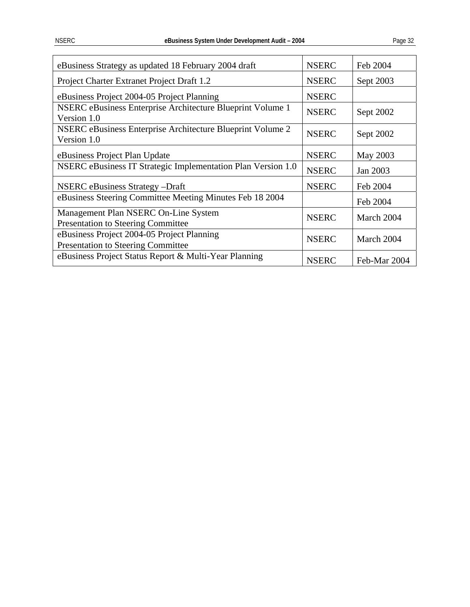| eBusiness Strategy as updated 18 February 2004 draft                                    | <b>NSERC</b> | Feb 2004     |
|-----------------------------------------------------------------------------------------|--------------|--------------|
| Project Charter Extranet Project Draft 1.2                                              | <b>NSERC</b> | Sept 2003    |
| eBusiness Project 2004-05 Project Planning                                              | <b>NSERC</b> |              |
| NSERC eBusiness Enterprise Architecture Blueprint Volume 1<br>Version 1.0               | <b>NSERC</b> | Sept 2002    |
| NSERC eBusiness Enterprise Architecture Blueprint Volume 2<br>Version 1.0               | <b>NSERC</b> | Sept 2002    |
| eBusiness Project Plan Update                                                           | <b>NSERC</b> | May 2003     |
| NSERC eBusiness IT Strategic Implementation Plan Version 1.0                            | <b>NSERC</b> | Jan 2003     |
| <b>NSERC</b> eBusiness Strategy -Draft                                                  | <b>NSERC</b> | Feb 2004     |
| eBusiness Steering Committee Meeting Minutes Feb 18 2004                                |              | Feb 2004     |
| Management Plan NSERC On-Line System<br><b>Presentation to Steering Committee</b>       | <b>NSERC</b> | March 2004   |
| eBusiness Project 2004-05 Project Planning<br><b>Presentation to Steering Committee</b> | <b>NSERC</b> | March 2004   |
| eBusiness Project Status Report & Multi-Year Planning                                   | <b>NSERC</b> | Feb-Mar 2004 |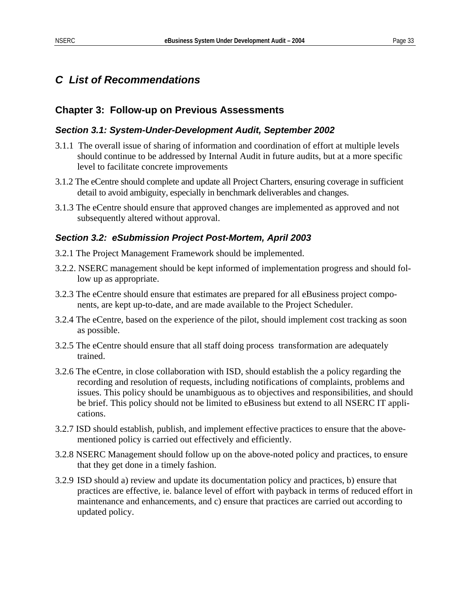### <span id="page-36-0"></span>*C List of Recommendations*

### **Chapter 3: Follow-up on Previous Assessments**

#### *Section 3.1: System-Under-Development Audit, September 2002*

- 3.1.1 The overall issue of sharing of information and coordination of effort at multiple levels should continue to be addressed by Internal Audit in future audits, but at a more specific level to facilitate concrete improvements
- 3.1.2 The eCentre should complete and update all Project Charters, ensuring coverage in sufficient detail to avoid ambiguity, especially in benchmark deliverables and changes.
- 3.1.3 The eCentre should ensure that approved changes are implemented as approved and not subsequently altered without approval.

### *Section 3.2: eSubmission Project Post-Mortem, April 2003*

- 3.2.1 The Project Management Framework should be implemented.
- 3.2.2. NSERC management should be kept informed of implementation progress and should follow up as appropriate.
- 3.2.3 The eCentre should ensure that estimates are prepared for all eBusiness project components, are kept up-to-date, and are made available to the Project Scheduler.
- 3.2.4 The eCentre, based on the experience of the pilot, should implement cost tracking as soon as possible.
- 3.2.5 The eCentre should ensure that all staff doing process transformation are adequately trained.
- 3.2.6 The eCentre, in close collaboration with ISD, should establish the a policy regarding the recording and resolution of requests, including notifications of complaints, problems and issues. This policy should be unambiguous as to objectives and responsibilities, and should be brief. This policy should not be limited to eBusiness but extend to all NSERC IT applications.
- 3.2.7 ISD should establish, publish, and implement effective practices to ensure that the abovementioned policy is carried out effectively and efficiently.
- 3.2.8 NSERC Management should follow up on the above-noted policy and practices, to ensure that they get done in a timely fashion.
- 3.2.9 ISD should a) review and update its documentation policy and practices, b) ensure that practices are effective, ie. balance level of effort with payback in terms of reduced effort in maintenance and enhancements, and c) ensure that practices are carried out according to updated policy.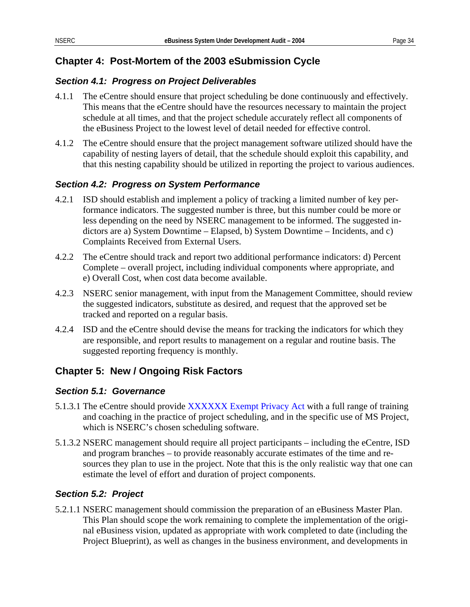### **Chapter 4: Post-Mortem of the 2003 eSubmission Cycle**

### *Section 4.1: Progress on Project Deliverables*

- 4.1.1 The eCentre should ensure that project scheduling be done continuously and effectively. This means that the eCentre should have the resources necessary to maintain the project schedule at all times, and that the project schedule accurately reflect all components of the eBusiness Project to the lowest level of detail needed for effective control.
- 4.1.2 The eCentre should ensure that the project management software utilized should have the capability of nesting layers of detail, that the schedule should exploit this capability, and that this nesting capability should be utilized in reporting the project to various audiences.

### *Section 4.2: Progress on System Performance*

- 4.2.1 ISD should establish and implement a policy of tracking a limited number of key performance indicators. The suggested number is three, but this number could be more or less depending on the need by NSERC management to be informed. The suggested indictors are a) System Downtime – Elapsed, b) System Downtime – Incidents, and c) Complaints Received from External Users.
- 4.2.2 The eCentre should track and report two additional performance indicators: d) Percent Complete – overall project, including individual components where appropriate, and e) Overall Cost, when cost data become available.
- 4.2.3 NSERC senior management, with input from the Management Committee, should review the suggested indicators, substitute as desired, and request that the approved set be tracked and reported on a regular basis.
- 4.2.4 ISD and the eCentre should devise the means for tracking the indicators for which they are responsible, and report results to management on a regular and routine basis. The suggested reporting frequency is monthly.

### **Chapter 5: New / Ongoing Risk Factors**

### *Section 5.1: Governance*

- 5.1.3.1 The eCentre should provide XXXXXX Exempt Privacy Act with a full range of training and coaching in the practice of project scheduling, and in the specific use of MS Project, which is NSERC's chosen scheduling software.
- 5.1.3.2 NSERC management should require all project participants including the eCentre, ISD and program branches – to provide reasonably accurate estimates of the time and resources they plan to use in the project. Note that this is the only realistic way that one can estimate the level of effort and duration of project components.

### *Section 5.2: Project*

5.2.1.1 NSERC management should commission the preparation of an eBusiness Master Plan. This Plan should scope the work remaining to complete the implementation of the original eBusiness vision, updated as appropriate with work completed to date (including the Project Blueprint), as well as changes in the business environment, and developments in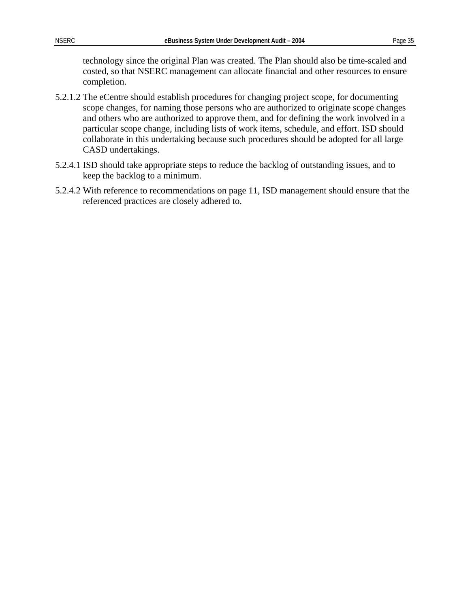technology since the original Plan was created. The Plan should also be time-scaled and costed, so that NSERC management can allocate financial and other resources to ensure completion.

- 5.2.1.2 The eCentre should establish procedures for changing project scope, for documenting scope changes, for naming those persons who are authorized to originate scope changes and others who are authorized to approve them, and for defining the work involved in a particular scope change, including lists of work items, schedule, and effort. ISD should collaborate in this undertaking because such procedures should be adopted for all large CASD undertakings.
- 5.2.4.1 ISD should take appropriate steps to reduce the backlog of outstanding issues, and to keep the backlog to a minimum.
- 5.2.4.2 With reference to recommendations on page [11,](#page-14-1) ISD management should ensure that the referenced practices are closely adhered to.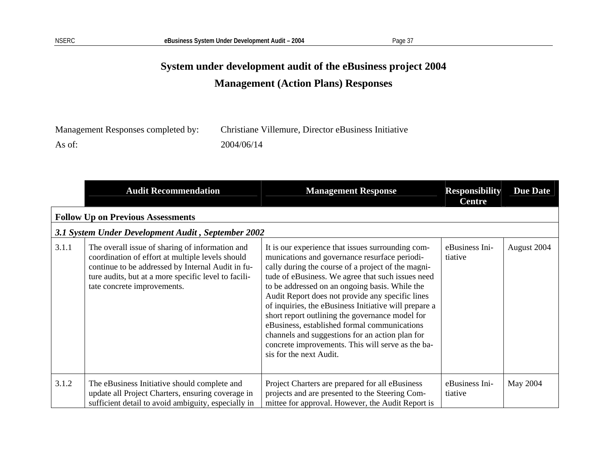# **System under development audit of the eBusiness project 2004 Management (Action Plans) Responses**

| Management Responses completed by: | Christiane Villemure, Director eBusiness Initiative |
|------------------------------------|-----------------------------------------------------|
| As of:                             | 2004/06/14                                          |

|       | <b>Audit Recommendation</b>                                                                                                                                                                                                                     | <b>Management Response</b>                                                                                                                                                                                                                                                                                                                                                                                                                                                                                                                                                                                         | <b>Responsibility</b><br><b>Centre</b> | <b>Due Date</b> |
|-------|-------------------------------------------------------------------------------------------------------------------------------------------------------------------------------------------------------------------------------------------------|--------------------------------------------------------------------------------------------------------------------------------------------------------------------------------------------------------------------------------------------------------------------------------------------------------------------------------------------------------------------------------------------------------------------------------------------------------------------------------------------------------------------------------------------------------------------------------------------------------------------|----------------------------------------|-----------------|
|       | <b>Follow Up on Previous Assessments</b>                                                                                                                                                                                                        |                                                                                                                                                                                                                                                                                                                                                                                                                                                                                                                                                                                                                    |                                        |                 |
|       | 3.1 System Under Development Audit, September 2002                                                                                                                                                                                              |                                                                                                                                                                                                                                                                                                                                                                                                                                                                                                                                                                                                                    |                                        |                 |
| 3.1.1 | The overall issue of sharing of information and<br>coordination of effort at multiple levels should<br>continue to be addressed by Internal Audit in fu-<br>ture audits, but at a more specific level to facili-<br>tate concrete improvements. | It is our experience that issues surrounding com-<br>munications and governance resurface periodi-<br>cally during the course of a project of the magni-<br>tude of eBusiness. We agree that such issues need<br>to be addressed on an ongoing basis. While the<br>Audit Report does not provide any specific lines<br>of inquiries, the eBusiness Initiative will prepare a<br>short report outlining the governance model for<br>eBusiness, established formal communications<br>channels and suggestions for an action plan for<br>concrete improvements. This will serve as the ba-<br>sis for the next Audit. | eBusiness Ini-<br>tiative              | August 2004     |
| 3.1.2 | The eBusiness Initiative should complete and<br>update all Project Charters, ensuring coverage in<br>sufficient detail to avoid ambiguity, especially in                                                                                        | Project Charters are prepared for all eBusiness<br>projects and are presented to the Steering Com-<br>mittee for approval. However, the Audit Report is                                                                                                                                                                                                                                                                                                                                                                                                                                                            | eBusiness Ini-<br>tiative              | May 2004        |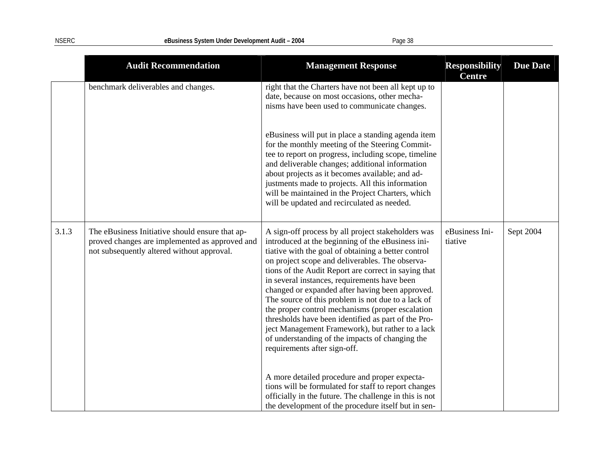|       | <b>Audit Recommendation</b>                                                                                                                     | <b>Management Response</b>                                                                                                                                                                                                                                                                                                                                                                                                                                                                                                                                                                                                                                                           | <b>Responsibility</b><br><b>Centre</b> | <b>Due Date</b> |
|-------|-------------------------------------------------------------------------------------------------------------------------------------------------|--------------------------------------------------------------------------------------------------------------------------------------------------------------------------------------------------------------------------------------------------------------------------------------------------------------------------------------------------------------------------------------------------------------------------------------------------------------------------------------------------------------------------------------------------------------------------------------------------------------------------------------------------------------------------------------|----------------------------------------|-----------------|
|       | benchmark deliverables and changes.                                                                                                             | right that the Charters have not been all kept up to<br>date, because on most occasions, other mecha-<br>nisms have been used to communicate changes.                                                                                                                                                                                                                                                                                                                                                                                                                                                                                                                                |                                        |                 |
|       |                                                                                                                                                 | eBusiness will put in place a standing agenda item<br>for the monthly meeting of the Steering Commit-<br>tee to report on progress, including scope, timeline<br>and deliverable changes; additional information<br>about projects as it becomes available; and ad-<br>justments made to projects. All this information<br>will be maintained in the Project Charters, which<br>will be updated and recirculated as needed.                                                                                                                                                                                                                                                          |                                        |                 |
| 3.1.3 | The eBusiness Initiative should ensure that ap-<br>proved changes are implemented as approved and<br>not subsequently altered without approval. | A sign-off process by all project stakeholders was<br>introduced at the beginning of the eBusiness ini-<br>tiative with the goal of obtaining a better control<br>on project scope and deliverables. The observa-<br>tions of the Audit Report are correct in saying that<br>in several instances, requirements have been<br>changed or expanded after having been approved.<br>The source of this problem is not due to a lack of<br>the proper control mechanisms (proper escalation<br>thresholds have been identified as part of the Pro-<br>ject Management Framework), but rather to a lack<br>of understanding of the impacts of changing the<br>requirements after sign-off. | eBusiness Ini-<br>tiative              | Sept 2004       |
|       |                                                                                                                                                 | A more detailed procedure and proper expecta-<br>tions will be formulated for staff to report changes<br>officially in the future. The challenge in this is not<br>the development of the procedure itself but in sen-                                                                                                                                                                                                                                                                                                                                                                                                                                                               |                                        |                 |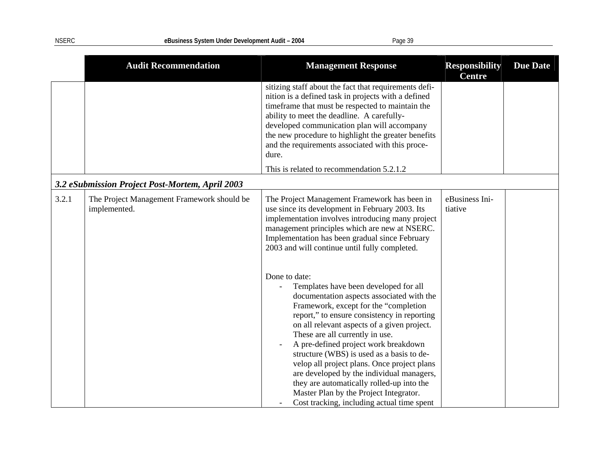|       | <b>Audit Recommendation</b>                                | <b>Management Response</b>                                                                                                                                                                                                                                                                                                                                                                                                                                                                                                                                                                          | <b>Responsibility</b><br><b>Centre</b> | <b>Due Date</b> |
|-------|------------------------------------------------------------|-----------------------------------------------------------------------------------------------------------------------------------------------------------------------------------------------------------------------------------------------------------------------------------------------------------------------------------------------------------------------------------------------------------------------------------------------------------------------------------------------------------------------------------------------------------------------------------------------------|----------------------------------------|-----------------|
|       |                                                            | sitizing staff about the fact that requirements defi-<br>nition is a defined task in projects with a defined<br>timeframe that must be respected to maintain the<br>ability to meet the deadline. A carefully-<br>developed communication plan will accompany<br>the new procedure to highlight the greater benefits<br>and the requirements associated with this proce-<br>dure.                                                                                                                                                                                                                   |                                        |                 |
|       |                                                            | This is related to recommendation 5.2.1.2                                                                                                                                                                                                                                                                                                                                                                                                                                                                                                                                                           |                                        |                 |
|       | 3.2 eSubmission Project Post-Mortem, April 2003            |                                                                                                                                                                                                                                                                                                                                                                                                                                                                                                                                                                                                     |                                        |                 |
| 3.2.1 | The Project Management Framework should be<br>implemented. | The Project Management Framework has been in<br>use since its development in February 2003. Its<br>implementation involves introducing many project<br>management principles which are new at NSERC.<br>Implementation has been gradual since February<br>2003 and will continue until fully completed.                                                                                                                                                                                                                                                                                             | eBusiness Ini-<br>tiative              |                 |
|       |                                                            | Done to date:<br>Templates have been developed for all<br>documentation aspects associated with the<br>Framework, except for the "completion<br>report," to ensure consistency in reporting<br>on all relevant aspects of a given project.<br>These are all currently in use.<br>A pre-defined project work breakdown<br>structure (WBS) is used as a basis to de-<br>velop all project plans. Once project plans<br>are developed by the individual managers,<br>they are automatically rolled-up into the<br>Master Plan by the Project Integrator.<br>Cost tracking, including actual time spent |                                        |                 |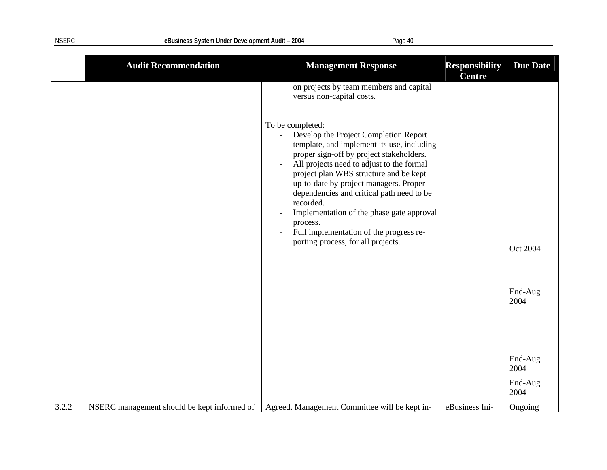|       | <b>Audit Recommendation</b>                 | <b>Management Response</b>                                                                                                                                                                                                                                                                                                                                                                                                                                                               | <b>Responsibility</b><br><b>Centre</b> | <b>Due Date</b>             |
|-------|---------------------------------------------|------------------------------------------------------------------------------------------------------------------------------------------------------------------------------------------------------------------------------------------------------------------------------------------------------------------------------------------------------------------------------------------------------------------------------------------------------------------------------------------|----------------------------------------|-----------------------------|
|       |                                             | on projects by team members and capital<br>versus non-capital costs.                                                                                                                                                                                                                                                                                                                                                                                                                     |                                        |                             |
|       |                                             | To be completed:<br>Develop the Project Completion Report<br>template, and implement its use, including<br>proper sign-off by project stakeholders.<br>All projects need to adjust to the formal<br>project plan WBS structure and be kept<br>up-to-date by project managers. Proper<br>dependencies and critical path need to be<br>recorded.<br>Implementation of the phase gate approval<br>process.<br>Full implementation of the progress re-<br>porting process, for all projects. |                                        | Oct 2004<br>End-Aug<br>2004 |
|       |                                             |                                                                                                                                                                                                                                                                                                                                                                                                                                                                                          |                                        | End-Aug<br>2004             |
|       |                                             |                                                                                                                                                                                                                                                                                                                                                                                                                                                                                          |                                        | End-Aug<br>2004             |
| 3.2.2 | NSERC management should be kept informed of | Agreed. Management Committee will be kept in-                                                                                                                                                                                                                                                                                                                                                                                                                                            | eBusiness Ini-                         | Ongoing                     |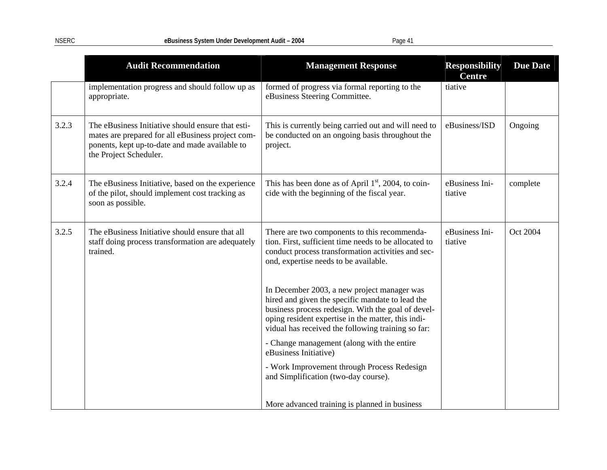|       | <b>Audit Recommendation</b>                                                                                                                                                        | <b>Management Response</b>                                                                                                                                                                                                                                        | <b>Responsibility</b><br><b>Centre</b> | <b>Due Date</b> |
|-------|------------------------------------------------------------------------------------------------------------------------------------------------------------------------------------|-------------------------------------------------------------------------------------------------------------------------------------------------------------------------------------------------------------------------------------------------------------------|----------------------------------------|-----------------|
|       | implementation progress and should follow up as<br>appropriate.                                                                                                                    | formed of progress via formal reporting to the<br>eBusiness Steering Committee.                                                                                                                                                                                   | tiative                                |                 |
| 3.2.3 | The eBusiness Initiative should ensure that esti-<br>mates are prepared for all eBusiness project com-<br>ponents, kept up-to-date and made available to<br>the Project Scheduler. | This is currently being carried out and will need to<br>be conducted on an ongoing basis throughout the<br>project.                                                                                                                                               | eBusiness/ISD                          | Ongoing         |
| 3.2.4 | The eBusiness Initiative, based on the experience<br>of the pilot, should implement cost tracking as<br>soon as possible.                                                          | This has been done as of April $1st$ , 2004, to coin-<br>cide with the beginning of the fiscal year.                                                                                                                                                              | eBusiness Ini-<br>tiative              | complete        |
| 3.2.5 | The eBusiness Initiative should ensure that all<br>staff doing process transformation are adequately<br>trained.                                                                   | There are two components to this recommenda-<br>tion. First, sufficient time needs to be allocated to<br>conduct process transformation activities and sec-<br>ond, expertise needs to be available.                                                              | eBusiness Ini-<br>tiative              | Oct 2004        |
|       |                                                                                                                                                                                    | In December 2003, a new project manager was<br>hired and given the specific mandate to lead the<br>business process redesign. With the goal of devel-<br>oping resident expertise in the matter, this indi-<br>vidual has received the following training so far: |                                        |                 |
|       |                                                                                                                                                                                    | - Change management (along with the entire<br>eBusiness Initiative)                                                                                                                                                                                               |                                        |                 |
|       |                                                                                                                                                                                    | - Work Improvement through Process Redesign<br>and Simplification (two-day course).                                                                                                                                                                               |                                        |                 |
|       |                                                                                                                                                                                    | More advanced training is planned in business                                                                                                                                                                                                                     |                                        |                 |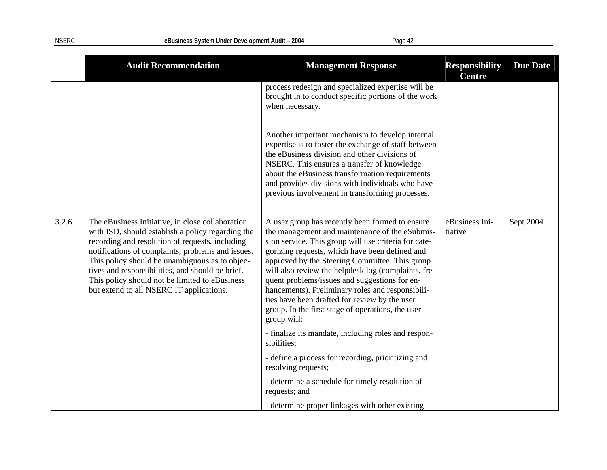|       | <b>Audit Recommendation</b>                                                                                                                                                                                                                                                                                                                                                                                       | <b>Management Response</b>                                                                                                                                                                                                                                                                                                                                                                                                                                                                                                                     | <b>Responsibility</b><br><b>Centre</b> | <b>Due Date</b> |
|-------|-------------------------------------------------------------------------------------------------------------------------------------------------------------------------------------------------------------------------------------------------------------------------------------------------------------------------------------------------------------------------------------------------------------------|------------------------------------------------------------------------------------------------------------------------------------------------------------------------------------------------------------------------------------------------------------------------------------------------------------------------------------------------------------------------------------------------------------------------------------------------------------------------------------------------------------------------------------------------|----------------------------------------|-----------------|
|       |                                                                                                                                                                                                                                                                                                                                                                                                                   | process redesign and specialized expertise will be<br>brought in to conduct specific portions of the work<br>when necessary.                                                                                                                                                                                                                                                                                                                                                                                                                   |                                        |                 |
|       |                                                                                                                                                                                                                                                                                                                                                                                                                   | Another important mechanism to develop internal<br>expertise is to foster the exchange of staff between<br>the eBusiness division and other divisions of<br>NSERC. This ensures a transfer of knowledge<br>about the eBusiness transformation requirements<br>and provides divisions with individuals who have<br>previous involvement in transforming processes.                                                                                                                                                                              |                                        |                 |
| 3.2.6 | The eBusiness Initiative, in close collaboration<br>with ISD, should establish a policy regarding the<br>recording and resolution of requests, including<br>notifications of complaints, problems and issues.<br>This policy should be unambiguous as to objec-<br>tives and responsibilities, and should be brief.<br>This policy should not be limited to eBusiness<br>but extend to all NSERC IT applications. | A user group has recently been formed to ensure<br>the management and maintenance of the eSubmis-<br>sion service. This group will use criteria for cate-<br>gorizing requests, which have been defined and<br>approved by the Steering Committee. This group<br>will also review the helpdesk log (complaints, fre-<br>quent problems/issues and suggestions for en-<br>hancements). Preliminary roles and responsibili-<br>ties have been drafted for review by the user<br>group. In the first stage of operations, the user<br>group will: | eBusiness Ini-<br>tiative              | Sept 2004       |
|       |                                                                                                                                                                                                                                                                                                                                                                                                                   | - finalize its mandate, including roles and respon-<br>sibilities;                                                                                                                                                                                                                                                                                                                                                                                                                                                                             |                                        |                 |
|       |                                                                                                                                                                                                                                                                                                                                                                                                                   | - define a process for recording, prioritizing and<br>resolving requests;                                                                                                                                                                                                                                                                                                                                                                                                                                                                      |                                        |                 |
|       |                                                                                                                                                                                                                                                                                                                                                                                                                   | - determine a schedule for timely resolution of<br>requests; and                                                                                                                                                                                                                                                                                                                                                                                                                                                                               |                                        |                 |
|       |                                                                                                                                                                                                                                                                                                                                                                                                                   | - determine proper linkages with other existing                                                                                                                                                                                                                                                                                                                                                                                                                                                                                                |                                        |                 |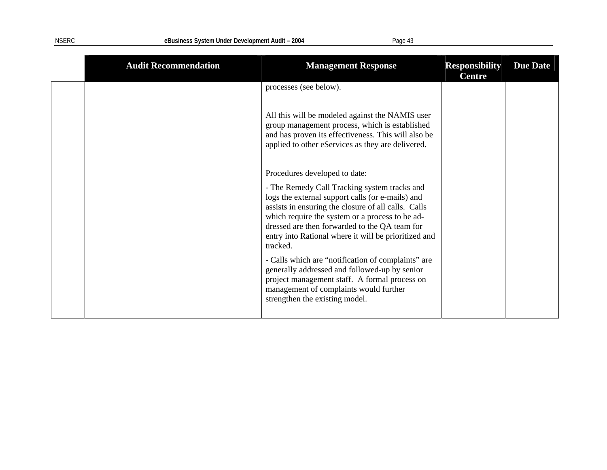| <b>Audit Recommendation</b> | <b>Management Response</b>                                                                                                                                                                                                                                                                                                      | <b>Responsibility</b><br><b>Centre</b> | <b>Due Date</b> |
|-----------------------------|---------------------------------------------------------------------------------------------------------------------------------------------------------------------------------------------------------------------------------------------------------------------------------------------------------------------------------|----------------------------------------|-----------------|
|                             | processes (see below).                                                                                                                                                                                                                                                                                                          |                                        |                 |
|                             | All this will be modeled against the NAMIS user<br>group management process, which is established<br>and has proven its effectiveness. This will also be<br>applied to other eServices as they are delivered.                                                                                                                   |                                        |                 |
|                             | Procedures developed to date:                                                                                                                                                                                                                                                                                                   |                                        |                 |
|                             | - The Remedy Call Tracking system tracks and<br>logs the external support calls (or e-mails) and<br>assists in ensuring the closure of all calls. Calls<br>which require the system or a process to be ad-<br>dressed are then forwarded to the QA team for<br>entry into Rational where it will be prioritized and<br>tracked. |                                        |                 |
|                             | - Calls which are "notification of complaints" are<br>generally addressed and followed-up by senior<br>project management staff. A formal process on<br>management of complaints would further<br>strengthen the existing model.                                                                                                |                                        |                 |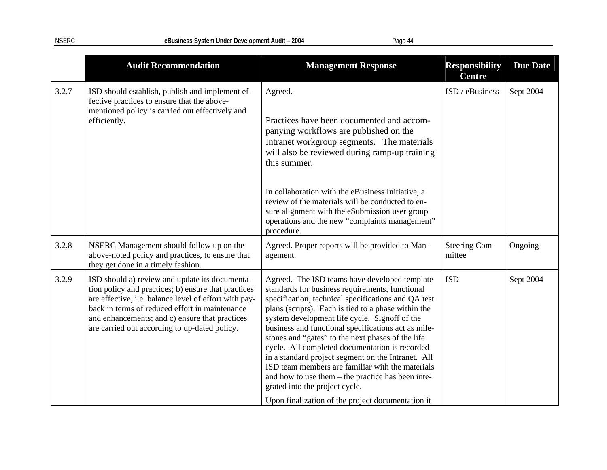|       | <b>Audit Recommendation</b>                                                                                                                                                                                                                                                                                         | <b>Management Response</b>                                                                                                                                                                                                                                                                                                                                                                                                                                                                                                                                                                                                                                                          | <b>Responsibility</b><br><b>Centre</b> | <b>Due Date</b> |
|-------|---------------------------------------------------------------------------------------------------------------------------------------------------------------------------------------------------------------------------------------------------------------------------------------------------------------------|-------------------------------------------------------------------------------------------------------------------------------------------------------------------------------------------------------------------------------------------------------------------------------------------------------------------------------------------------------------------------------------------------------------------------------------------------------------------------------------------------------------------------------------------------------------------------------------------------------------------------------------------------------------------------------------|----------------------------------------|-----------------|
| 3.2.7 | ISD should establish, publish and implement ef-<br>fective practices to ensure that the above-<br>mentioned policy is carried out effectively and<br>efficiently.                                                                                                                                                   | Agreed.<br>Practices have been documented and accom-<br>panying workflows are published on the<br>Intranet workgroup segments. The materials<br>will also be reviewed during ramp-up training<br>this summer.<br>In collaboration with the eBusiness Initiative, a<br>review of the materials will be conducted to en-<br>sure alignment with the eSubmission user group<br>operations and the new "complaints management"<br>procedure.                                                                                                                                                                                                                                            | ISD / eBusiness                        | Sept 2004       |
| 3.2.8 | NSERC Management should follow up on the<br>above-noted policy and practices, to ensure that<br>they get done in a timely fashion.                                                                                                                                                                                  | Agreed. Proper reports will be provided to Man-<br>agement.                                                                                                                                                                                                                                                                                                                                                                                                                                                                                                                                                                                                                         | Steering Com-<br>mittee                | Ongoing         |
| 3.2.9 | ISD should a) review and update its documenta-<br>tion policy and practices; b) ensure that practices<br>are effective, i.e. balance level of effort with pay-<br>back in terms of reduced effort in maintenance<br>and enhancements; and c) ensure that practices<br>are carried out according to up-dated policy. | Agreed. The ISD teams have developed template<br>standards for business requirements, functional<br>specification, technical specifications and QA test<br>plans (scripts). Each is tied to a phase within the<br>system development life cycle. Signoff of the<br>business and functional specifications act as mile-<br>stones and "gates" to the next phases of the life<br>cycle. All completed documentation is recorded<br>in a standard project segment on the Intranet. All<br>ISD team members are familiar with the materials<br>and how to use them - the practice has been inte-<br>grated into the project cycle.<br>Upon finalization of the project documentation it | <b>ISD</b>                             | Sept 2004       |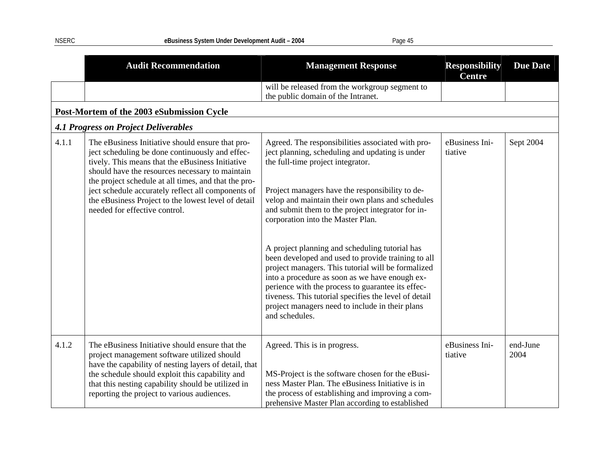|       | <b>Audit Recommendation</b>                                                                                                                                                                                                                                                                                                                                                                                      | <b>Management Response</b>                                                                                                                                                                                                                                                                                                                                                                      | <b>Responsibility</b><br><b>Centre</b> | <b>Due Date</b>  |
|-------|------------------------------------------------------------------------------------------------------------------------------------------------------------------------------------------------------------------------------------------------------------------------------------------------------------------------------------------------------------------------------------------------------------------|-------------------------------------------------------------------------------------------------------------------------------------------------------------------------------------------------------------------------------------------------------------------------------------------------------------------------------------------------------------------------------------------------|----------------------------------------|------------------|
|       |                                                                                                                                                                                                                                                                                                                                                                                                                  | will be released from the workgroup segment to<br>the public domain of the Intranet.                                                                                                                                                                                                                                                                                                            |                                        |                  |
|       | Post-Mortem of the 2003 eSubmission Cycle                                                                                                                                                                                                                                                                                                                                                                        |                                                                                                                                                                                                                                                                                                                                                                                                 |                                        |                  |
|       | <b>4.1 Progress on Project Deliverables</b>                                                                                                                                                                                                                                                                                                                                                                      |                                                                                                                                                                                                                                                                                                                                                                                                 |                                        |                  |
| 4.1.1 | The eBusiness Initiative should ensure that pro-<br>ject scheduling be done continuously and effec-<br>tively. This means that the eBusiness Initiative<br>should have the resources necessary to maintain<br>the project schedule at all times, and that the pro-<br>ject schedule accurately reflect all components of<br>the eBusiness Project to the lowest level of detail<br>needed for effective control. | Agreed. The responsibilities associated with pro-<br>ject planning, scheduling and updating is under<br>the full-time project integrator.<br>Project managers have the responsibility to de-<br>velop and maintain their own plans and schedules<br>and submit them to the project integrator for in-<br>corporation into the Master Plan.                                                      | eBusiness Ini-<br>tiative              | Sept 2004        |
|       |                                                                                                                                                                                                                                                                                                                                                                                                                  | A project planning and scheduling tutorial has<br>been developed and used to provide training to all<br>project managers. This tutorial will be formalized<br>into a procedure as soon as we have enough ex-<br>perience with the process to guarantee its effec-<br>tiveness. This tutorial specifies the level of detail<br>project managers need to include in their plans<br>and schedules. |                                        |                  |
| 4.1.2 | The eBusiness Initiative should ensure that the<br>project management software utilized should<br>have the capability of nesting layers of detail, that<br>the schedule should exploit this capability and<br>that this nesting capability should be utilized in<br>reporting the project to various audiences.                                                                                                  | Agreed. This is in progress.<br>MS-Project is the software chosen for the eBusi-<br>ness Master Plan. The eBusiness Initiative is in<br>the process of establishing and improving a com-<br>prehensive Master Plan according to established                                                                                                                                                     | eBusiness Ini-<br>tiative              | end-June<br>2004 |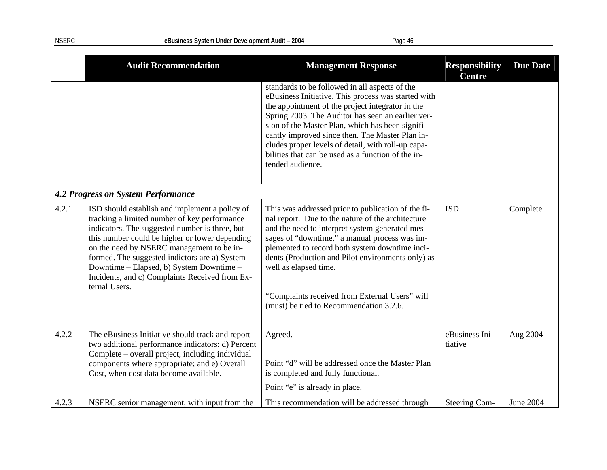|       | <b>Audit Recommendation</b>                                                                                                                                                                                                                                                                                                                                                                                     | <b>Management Response</b>                                                                                                                                                                                                                                                                                                                                                                                                                            | <b>Responsibility</b><br><b>Centre</b> | <b>Due Date</b>  |
|-------|-----------------------------------------------------------------------------------------------------------------------------------------------------------------------------------------------------------------------------------------------------------------------------------------------------------------------------------------------------------------------------------------------------------------|-------------------------------------------------------------------------------------------------------------------------------------------------------------------------------------------------------------------------------------------------------------------------------------------------------------------------------------------------------------------------------------------------------------------------------------------------------|----------------------------------------|------------------|
|       |                                                                                                                                                                                                                                                                                                                                                                                                                 | standards to be followed in all aspects of the<br>eBusiness Initiative. This process was started with<br>the appointment of the project integrator in the<br>Spring 2003. The Auditor has seen an earlier ver-<br>sion of the Master Plan, which has been signifi-<br>cantly improved since then. The Master Plan in-<br>cludes proper levels of detail, with roll-up capa-<br>bilities that can be used as a function of the in-<br>tended audience. |                                        |                  |
|       | <b>4.2 Progress on System Performance</b>                                                                                                                                                                                                                                                                                                                                                                       |                                                                                                                                                                                                                                                                                                                                                                                                                                                       |                                        |                  |
| 4.2.1 | ISD should establish and implement a policy of<br>tracking a limited number of key performance<br>indicators. The suggested number is three, but<br>this number could be higher or lower depending<br>on the need by NSERC management to be in-<br>formed. The suggested indictors are a) System<br>Downtime – Elapsed, b) System Downtime –<br>Incidents, and c) Complaints Received from Ex-<br>ternal Users. | This was addressed prior to publication of the fi-<br>nal report. Due to the nature of the architecture<br>and the need to interpret system generated mes-<br>sages of "downtime," a manual process was im-<br>plemented to record both system downtime inci-<br>dents (Production and Pilot environments only) as<br>well as elapsed time.<br>"Complaints received from External Users" will<br>(must) be tied to Recommendation 3.2.6.              | <b>ISD</b>                             | Complete         |
| 4.2.2 | The eBusiness Initiative should track and report<br>two additional performance indicators: d) Percent<br>Complete – overall project, including individual<br>components where appropriate; and e) Overall<br>Cost, when cost data become available.                                                                                                                                                             | Agreed.<br>Point "d" will be addressed once the Master Plan<br>is completed and fully functional.<br>Point "e" is already in place.                                                                                                                                                                                                                                                                                                                   | eBusiness Ini-<br>tiative              | Aug 2004         |
| 4.2.3 | NSERC senior management, with input from the                                                                                                                                                                                                                                                                                                                                                                    | This recommendation will be addressed through                                                                                                                                                                                                                                                                                                                                                                                                         | Steering Com-                          | <b>June 2004</b> |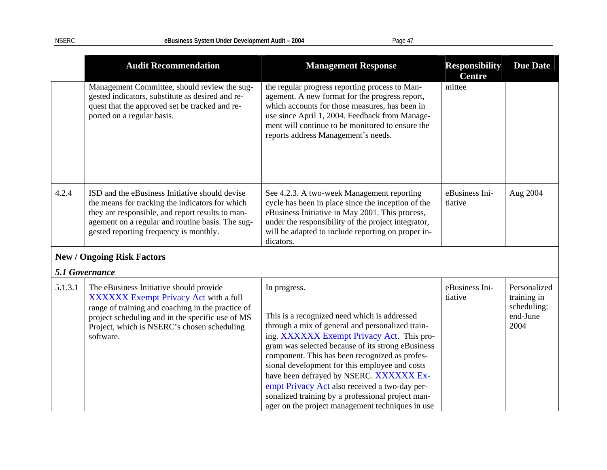|                | <b>Audit Recommendation</b>                                                                                                                                                                                                                           | <b>Management Response</b>                                                                                                                                                                                                                                                                                                                                                                                                                                                                                                  | <b>Responsibility</b><br><b>Centre</b> | <b>Due Date</b>                                                |
|----------------|-------------------------------------------------------------------------------------------------------------------------------------------------------------------------------------------------------------------------------------------------------|-----------------------------------------------------------------------------------------------------------------------------------------------------------------------------------------------------------------------------------------------------------------------------------------------------------------------------------------------------------------------------------------------------------------------------------------------------------------------------------------------------------------------------|----------------------------------------|----------------------------------------------------------------|
|                | Management Committee, should review the sug-<br>gested indicators, substitute as desired and re-<br>quest that the approved set be tracked and re-<br>ported on a regular basis.                                                                      | the regular progress reporting process to Man-<br>agement. A new format for the progress report,<br>which accounts for those measures, has been in<br>use since April 1, 2004. Feedback from Manage-<br>ment will continue to be monitored to ensure the<br>reports address Management's needs.                                                                                                                                                                                                                             | mittee                                 |                                                                |
| 4.2.4          | ISD and the eBusiness Initiative should devise<br>the means for tracking the indicators for which<br>they are responsible, and report results to man-<br>agement on a regular and routine basis. The sug-<br>gested reporting frequency is monthly.   | See 4.2.3. A two-week Management reporting<br>cycle has been in place since the inception of the<br>eBusiness Initiative in May 2001. This process,<br>under the responsibility of the project integrator,<br>will be adapted to include reporting on proper in-<br>dicators.                                                                                                                                                                                                                                               | eBusiness Ini-<br>tiative              | Aug 2004                                                       |
|                | <b>New / Ongoing Risk Factors</b>                                                                                                                                                                                                                     |                                                                                                                                                                                                                                                                                                                                                                                                                                                                                                                             |                                        |                                                                |
| 5.1 Governance |                                                                                                                                                                                                                                                       |                                                                                                                                                                                                                                                                                                                                                                                                                                                                                                                             |                                        |                                                                |
| 5.1.3.1        | The eBusiness Initiative should provide<br>XXXXXX Exempt Privacy Act with a full<br>range of training and coaching in the practice of<br>project scheduling and in the specific use of MS<br>Project, which is NSERC's chosen scheduling<br>software. | In progress.<br>This is a recognized need which is addressed<br>through a mix of general and personalized train-<br>ing. XXXXXX Exempt Privacy Act. This pro-<br>gram was selected because of its strong eBusiness<br>component. This has been recognized as profes-<br>sional development for this employee and costs<br>have been defrayed by NSERC. XXXXXX Ex-<br>empt Privacy Act also received a two-day per-<br>sonalized training by a professional project man-<br>ager on the project management techniques in use | eBusiness Ini-<br>tiative              | Personalized<br>training in<br>scheduling:<br>end-June<br>2004 |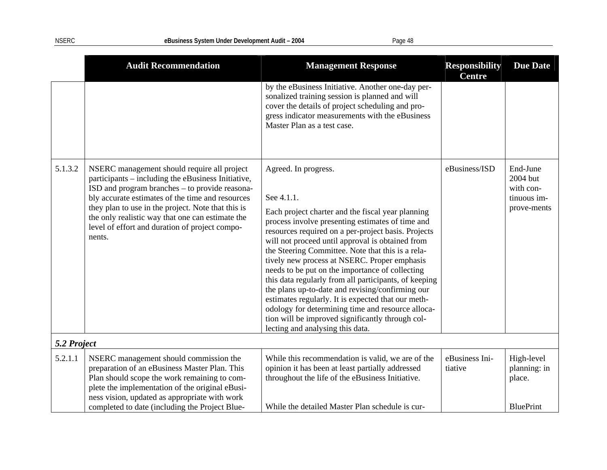|             | <b>Audit Recommendation</b>                                                                                                                                                                                                                                                                                                                                                   | <b>Management Response</b>                                                                                                                                                                                                                                                                                                                                                                                                                                                                                                                                                                                                                                                                                                     | <b>Responsibility</b><br><b>Centre</b> | <b>Due Date</b>                                                 |
|-------------|-------------------------------------------------------------------------------------------------------------------------------------------------------------------------------------------------------------------------------------------------------------------------------------------------------------------------------------------------------------------------------|--------------------------------------------------------------------------------------------------------------------------------------------------------------------------------------------------------------------------------------------------------------------------------------------------------------------------------------------------------------------------------------------------------------------------------------------------------------------------------------------------------------------------------------------------------------------------------------------------------------------------------------------------------------------------------------------------------------------------------|----------------------------------------|-----------------------------------------------------------------|
|             |                                                                                                                                                                                                                                                                                                                                                                               | by the eBusiness Initiative. Another one-day per-<br>sonalized training session is planned and will<br>cover the details of project scheduling and pro-<br>gress indicator measurements with the eBusiness<br>Master Plan as a test case.                                                                                                                                                                                                                                                                                                                                                                                                                                                                                      |                                        |                                                                 |
| 5.1.3.2     | NSERC management should require all project<br>participants – including the eBusiness Initiative,<br>ISD and program branches - to provide reasona-<br>bly accurate estimates of the time and resources<br>they plan to use in the project. Note that this is<br>the only realistic way that one can estimate the<br>level of effort and duration of project compo-<br>nents. | Agreed. In progress.<br>See 4.1.1.<br>Each project charter and the fiscal year planning<br>process involve presenting estimates of time and<br>resources required on a per-project basis. Projects<br>will not proceed until approval is obtained from<br>the Steering Committee. Note that this is a rela-<br>tively new process at NSERC. Proper emphasis<br>needs to be put on the importance of collecting<br>this data regularly from all participants, of keeping<br>the plans up-to-date and revising/confirming our<br>estimates regularly. It is expected that our meth-<br>odology for determining time and resource alloca-<br>tion will be improved significantly through col-<br>lecting and analysing this data. | eBusiness/ISD                          | End-June<br>2004 but<br>with con-<br>tinuous im-<br>prove-ments |
| 5.2 Project |                                                                                                                                                                                                                                                                                                                                                                               |                                                                                                                                                                                                                                                                                                                                                                                                                                                                                                                                                                                                                                                                                                                                |                                        |                                                                 |
| 5.2.1.1     | NSERC management should commission the<br>preparation of an eBusiness Master Plan. This<br>Plan should scope the work remaining to com-<br>plete the implementation of the original eBusi-<br>ness vision, updated as appropriate with work<br>completed to date (including the Project Blue-                                                                                 | While this recommendation is valid, we are of the<br>opinion it has been at least partially addressed<br>throughout the life of the eBusiness Initiative.<br>While the detailed Master Plan schedule is cur-                                                                                                                                                                                                                                                                                                                                                                                                                                                                                                                   | eBusiness Ini-<br>tiative              | High-level<br>planning: in<br>place.<br><b>BluePrint</b>        |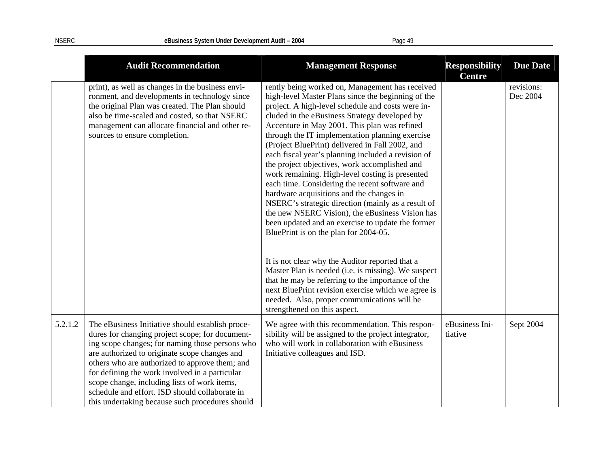|         | <b>Audit Recommendation</b>                                                                                                                                                                                                                                                                                                                                                                                                                                      | <b>Management Response</b>                                                                                                                                                                                                                                                                                                                                                                                                                                                                                                                                                                                                                                                                                                                                                                                                                                                                                                                                                                                                                            | <b>Responsibility</b><br><b>Centre</b> | <b>Due Date</b>        |
|---------|------------------------------------------------------------------------------------------------------------------------------------------------------------------------------------------------------------------------------------------------------------------------------------------------------------------------------------------------------------------------------------------------------------------------------------------------------------------|-------------------------------------------------------------------------------------------------------------------------------------------------------------------------------------------------------------------------------------------------------------------------------------------------------------------------------------------------------------------------------------------------------------------------------------------------------------------------------------------------------------------------------------------------------------------------------------------------------------------------------------------------------------------------------------------------------------------------------------------------------------------------------------------------------------------------------------------------------------------------------------------------------------------------------------------------------------------------------------------------------------------------------------------------------|----------------------------------------|------------------------|
|         | print), as well as changes in the business envi-<br>ronment, and developments in technology since<br>the original Plan was created. The Plan should<br>also be time-scaled and costed, so that NSERC<br>management can allocate financial and other re-<br>sources to ensure completion.                                                                                                                                                                         | rently being worked on, Management has received<br>high-level Master Plans since the beginning of the<br>project. A high-level schedule and costs were in-<br>cluded in the eBusiness Strategy developed by<br>Accenture in May 2001. This plan was refined<br>through the IT implementation planning exercise<br>(Project BluePrint) delivered in Fall 2002, and<br>each fiscal year's planning included a revision of<br>the project objectives, work accomplished and<br>work remaining. High-level costing is presented<br>each time. Considering the recent software and<br>hardware acquisitions and the changes in<br>NSERC's strategic direction (mainly as a result of<br>the new NSERC Vision), the eBusiness Vision has<br>been updated and an exercise to update the former<br>BluePrint is on the plan for 2004-05.<br>It is not clear why the Auditor reported that a<br>Master Plan is needed (i.e. is missing). We suspect<br>that he may be referring to the importance of the<br>next BluePrint revision exercise which we agree is |                                        | revisions:<br>Dec 2004 |
|         |                                                                                                                                                                                                                                                                                                                                                                                                                                                                  | needed. Also, proper communications will be<br>strengthened on this aspect.                                                                                                                                                                                                                                                                                                                                                                                                                                                                                                                                                                                                                                                                                                                                                                                                                                                                                                                                                                           |                                        |                        |
| 5.2.1.2 | The eBusiness Initiative should establish proce-<br>dures for changing project scope; for document-<br>ing scope changes; for naming those persons who<br>are authorized to originate scope changes and<br>others who are authorized to approve them; and<br>for defining the work involved in a particular<br>scope change, including lists of work items,<br>schedule and effort. ISD should collaborate in<br>this undertaking because such procedures should | We agree with this recommendation. This respon-<br>sibility will be assigned to the project integrator,<br>who will work in collaboration with eBusiness<br>Initiative colleagues and ISD.                                                                                                                                                                                                                                                                                                                                                                                                                                                                                                                                                                                                                                                                                                                                                                                                                                                            | eBusiness Ini-<br>tiative              | Sept 2004              |